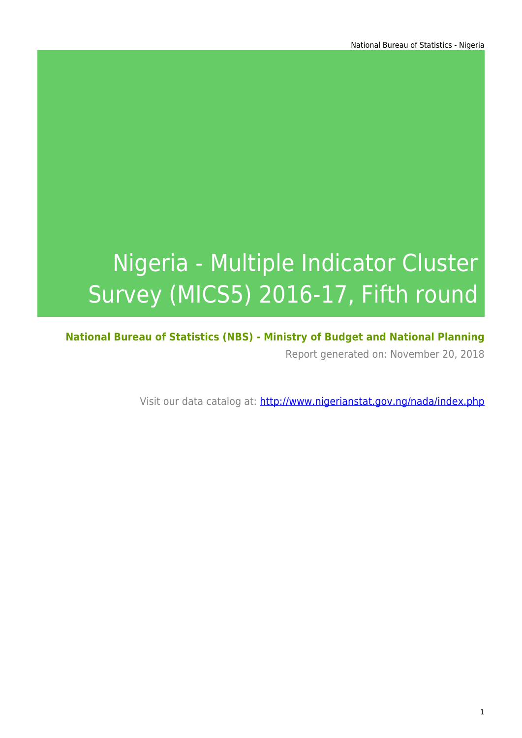# Nigeria - Multiple Indicator Cluster Survey (MICS5) 2016-17, Fifth round

### **National Bureau of Statistics (NBS) - Ministry of Budget and National Planning**

Report generated on: November 20, 2018

Visit our data catalog at: http://www.nigerianstat.gov.ng/nada/index.php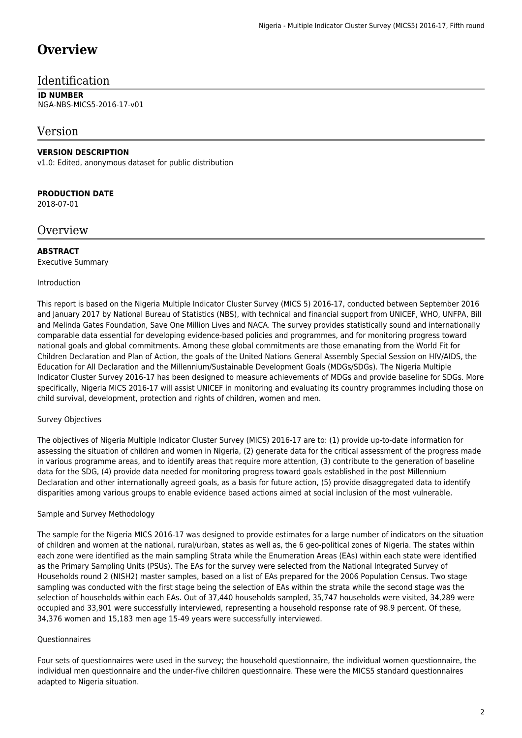# **Overview**

### Identification

### **ID NUMBER**

NGA-NBS-MICS5-2016-17-v01

### Version

### **VERSION DESCRIPTION**

v1.0: Edited, anonymous dataset for public distribution

### **PRODUCTION DATE**

2018-07-01

### **Overview**

### **ABSTRACT**

Executive Summary

#### Introduction

This report is based on the Nigeria Multiple Indicator Cluster Survey (MICS 5) 2016-17, conducted between September 2016 and January 2017 by National Bureau of Statistics (NBS), with technical and financial support from UNICEF, WHO, UNFPA, Bill and Melinda Gates Foundation, Save One Million Lives and NACA. The survey provides statistically sound and internationally comparable data essential for developing evidence-based policies and programmes, and for monitoring progress toward national goals and global commitments. Among these global commitments are those emanating from the World Fit for Children Declaration and Plan of Action, the goals of the United Nations General Assembly Special Session on HIV/AIDS, the Education for All Declaration and the Millennium/Sustainable Development Goals (MDGs/SDGs). The Nigeria Multiple Indicator Cluster Survey 2016-17 has been designed to measure achievements of MDGs and provide baseline for SDGs. More specifically, Nigeria MICS 2016-17 will assist UNICEF in monitoring and evaluating its country programmes including those on child survival, development, protection and rights of children, women and men.

#### Survey Objectives

The objectives of Nigeria Multiple Indicator Cluster Survey (MICS) 2016-17 are to: (1) provide up-to-date information for assessing the situation of children and women in Nigeria, (2) generate data for the critical assessment of the progress made in various programme areas, and to identify areas that require more attention, (3) contribute to the generation of baseline data for the SDG, (4) provide data needed for monitoring progress toward goals established in the post Millennium Declaration and other internationally agreed goals, as a basis for future action, (5) provide disaggregated data to identify disparities among various groups to enable evidence based actions aimed at social inclusion of the most vulnerable.

#### Sample and Survey Methodology

The sample for the Nigeria MICS 2016-17 was designed to provide estimates for a large number of indicators on the situation of children and women at the national, rural/urban, states as well as, the 6 geo-political zones of Nigeria. The states within each zone were identified as the main sampling Strata while the Enumeration Areas (EAs) within each state were identified as the Primary Sampling Units (PSUs). The EAs for the survey were selected from the National Integrated Survey of Households round 2 (NISH2) master samples, based on a list of EAs prepared for the 2006 Population Census. Two stage sampling was conducted with the first stage being the selection of EAs within the strata while the second stage was the selection of households within each EAs. Out of 37,440 households sampled, 35,747 households were visited, 34,289 were occupied and 33,901 were successfully interviewed, representing a household response rate of 98.9 percent. Of these, 34,376 women and 15,183 men age 15-49 years were successfully interviewed.

### **Ouestionnaires**

Four sets of questionnaires were used in the survey; the household questionnaire, the individual women questionnaire, the individual men questionnaire and the under-five children questionnaire. These were the MICS5 standard questionnaires adapted to Nigeria situation.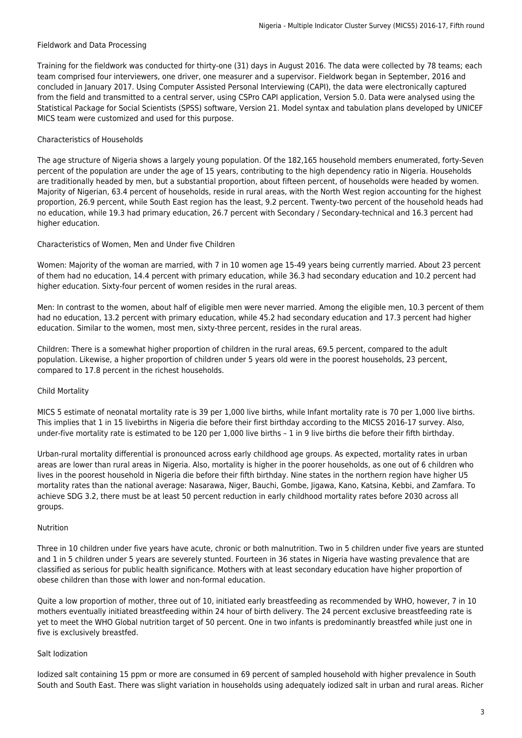### Fieldwork and Data Processing

Training for the fieldwork was conducted for thirty-one (31) days in August 2016. The data were collected by 78 teams; each team comprised four interviewers, one driver, one measurer and a supervisor. Fieldwork began in September, 2016 and concluded in January 2017. Using Computer Assisted Personal Interviewing (CAPI), the data were electronically captured from the field and transmitted to a central server, using CSPro CAPI application, Version 5.0. Data were analysed using the Statistical Package for Social Scientists (SPSS) software, Version 21. Model syntax and tabulation plans developed by UNICEF MICS team were customized and used for this purpose.

### Characteristics of Households

The age structure of Nigeria shows a largely young population. Of the 182,165 household members enumerated, forty-Seven percent of the population are under the age of 15 years, contributing to the high dependency ratio in Nigeria. Households are traditionally headed by men, but a substantial proportion, about fifteen percent, of households were headed by women. Majority of Nigerian, 63.4 percent of households, reside in rural areas, with the North West region accounting for the highest proportion, 26.9 percent, while South East region has the least, 9.2 percent. Twenty-two percent of the household heads had no education, while 19.3 had primary education, 26.7 percent with Secondary / Secondary-technical and 16.3 percent had higher education.

#### Characteristics of Women, Men and Under five Children

Women: Majority of the woman are married, with 7 in 10 women age 15-49 years being currently married. About 23 percent of them had no education, 14.4 percent with primary education, while 36.3 had secondary education and 10.2 percent had higher education. Sixty-four percent of women resides in the rural areas.

Men: In contrast to the women, about half of eligible men were never married. Among the eligible men, 10.3 percent of them had no education, 13.2 percent with primary education, while 45.2 had secondary education and 17.3 percent had higher education. Similar to the women, most men, sixty-three percent, resides in the rural areas.

Children: There is a somewhat higher proportion of children in the rural areas, 69.5 percent, compared to the adult population. Likewise, a higher proportion of children under 5 years old were in the poorest households, 23 percent, compared to 17.8 percent in the richest households.

#### Child Mortality

MICS 5 estimate of neonatal mortality rate is 39 per 1,000 live births, while Infant mortality rate is 70 per 1,000 live births. This implies that 1 in 15 livebirths in Nigeria die before their first birthday according to the MICS5 2016-17 survey. Also, under-five mortality rate is estimated to be 120 per 1,000 live births – 1 in 9 live births die before their fifth birthday.

Urban-rural mortality differential is pronounced across early childhood age groups. As expected, mortality rates in urban areas are lower than rural areas in Nigeria. Also, mortality is higher in the poorer households, as one out of 6 children who lives in the poorest household in Nigeria die before their fifth birthday. Nine states in the northern region have higher U5 mortality rates than the national average: Nasarawa, Niger, Bauchi, Gombe, Jigawa, Kano, Katsina, Kebbi, and Zamfara. To achieve SDG 3.2, there must be at least 50 percent reduction in early childhood mortality rates before 2030 across all groups.

#### Nutrition

Three in 10 children under five years have acute, chronic or both malnutrition. Two in 5 children under five years are stunted and 1 in 5 children under 5 years are severely stunted. Fourteen in 36 states in Nigeria have wasting prevalence that are classified as serious for public health significance. Mothers with at least secondary education have higher proportion of obese children than those with lower and non-formal education.

Quite a low proportion of mother, three out of 10, initiated early breastfeeding as recommended by WHO, however, 7 in 10 mothers eventually initiated breastfeeding within 24 hour of birth delivery. The 24 percent exclusive breastfeeding rate is yet to meet the WHO Global nutrition target of 50 percent. One in two infants is predominantly breastfed while just one in five is exclusively breastfed.

#### Salt Iodization

Iodized salt containing 15 ppm or more are consumed in 69 percent of sampled household with higher prevalence in South South and South East. There was slight variation in households using adequately iodized salt in urban and rural areas. Richer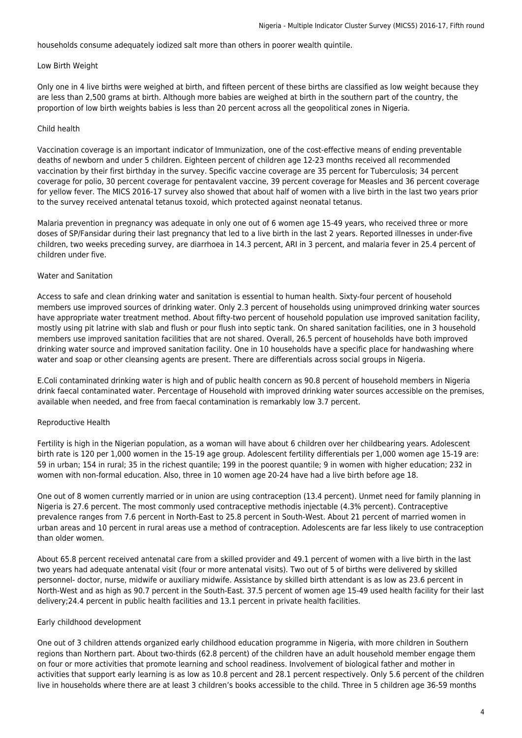households consume adequately iodized salt more than others in poorer wealth quintile.

#### Low Birth Weight

Only one in 4 live births were weighed at birth, and fifteen percent of these births are classified as low weight because they are less than 2,500 grams at birth. Although more babies are weighed at birth in the southern part of the country, the proportion of low birth weights babies is less than 20 percent across all the geopolitical zones in Nigeria.

### Child health

Vaccination coverage is an important indicator of Immunization, one of the cost-effective means of ending preventable deaths of newborn and under 5 children. Eighteen percent of children age 12-23 months received all recommended vaccination by their first birthday in the survey. Specific vaccine coverage are 35 percent for Tuberculosis; 34 percent coverage for polio, 30 percent coverage for pentavalent vaccine, 39 percent coverage for Measles and 36 percent coverage for yellow fever. The MICS 2016-17 survey also showed that about half of women with a live birth in the last two years prior to the survey received antenatal tetanus toxoid, which protected against neonatal tetanus.

Malaria prevention in pregnancy was adequate in only one out of 6 women age 15-49 years, who received three or more doses of SP/Fansidar during their last pregnancy that led to a live birth in the last 2 years. Reported illnesses in under-five children, two weeks preceding survey, are diarrhoea in 14.3 percent, ARI in 3 percent, and malaria fever in 25.4 percent of children under five.

### Water and Sanitation

Access to safe and clean drinking water and sanitation is essential to human health. Sixty-four percent of household members use improved sources of drinking water. Only 2.3 percent of households using unimproved drinking water sources have appropriate water treatment method. About fifty-two percent of household population use improved sanitation facility, mostly using pit latrine with slab and flush or pour flush into septic tank. On shared sanitation facilities, one in 3 household members use improved sanitation facilities that are not shared. Overall, 26.5 percent of households have both improved drinking water source and improved sanitation facility. One in 10 households have a specific place for handwashing where water and soap or other cleansing agents are present. There are differentials across social groups in Nigeria.

E.Coli contaminated drinking water is high and of public health concern as 90.8 percent of household members in Nigeria drink faecal contaminated water. Percentage of Household with improved drinking water sources accessible on the premises, available when needed, and free from faecal contamination is remarkably low 3.7 percent.

### Reproductive Health

Fertility is high in the Nigerian population, as a woman will have about 6 children over her childbearing years. Adolescent birth rate is 120 per 1,000 women in the 15-19 age group. Adolescent fertility differentials per 1,000 women age 15-19 are: 59 in urban; 154 in rural; 35 in the richest quantile; 199 in the poorest quantile; 9 in women with higher education; 232 in women with non-formal education. Also, three in 10 women age 20-24 have had a live birth before age 18.

One out of 8 women currently married or in union are using contraception (13.4 percent). Unmet need for family planning in Nigeria is 27.6 percent. The most commonly used contraceptive methodis injectable (4.3% percent). Contraceptive prevalence ranges from 7.6 percent in North-East to 25.8 percent in South-West. About 21 percent of married women in urban areas and 10 percent in rural areas use a method of contraception. Adolescents are far less likely to use contraception than older women.

About 65.8 percent received antenatal care from a skilled provider and 49.1 percent of women with a live birth in the last two years had adequate antenatal visit (four or more antenatal visits). Two out of 5 of births were delivered by skilled personnel- doctor, nurse, midwife or auxiliary midwife. Assistance by skilled birth attendant is as low as 23.6 percent in North-West and as high as 90.7 percent in the South-East. 37.5 percent of women age 15-49 used health facility for their last delivery;24.4 percent in public health facilities and 13.1 percent in private health facilities.

#### Early childhood development

One out of 3 children attends organized early childhood education programme in Nigeria, with more children in Southern regions than Northern part. About two-thirds (62.8 percent) of the children have an adult household member engage them on four or more activities that promote learning and school readiness. Involvement of biological father and mother in activities that support early learning is as low as 10.8 percent and 28.1 percent respectively. Only 5.6 percent of the children live in households where there are at least 3 children's books accessible to the child. Three in 5 children age 36-59 months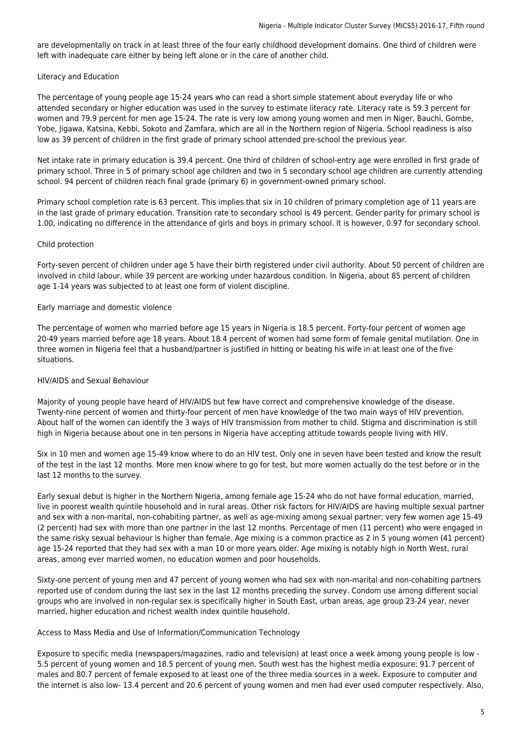are developmentally on track in at least three of the four early childhood development domains. One third of children were left with inadequate care either by being left alone or in the care of another child.

#### Literacy and Education

The percentage of young people age 15-24 years who can read a short simple statement about everyday life or who attended secondary or higher education was used in the survey to estimate literacy rate. Literacy rate is 59.3 percent for women and 79.9 percent for men age 15-24. The rate is very low among young women and men in Niger, Bauchi, Gombe, Yobe, Jigawa, Katsina, Kebbi, Sokoto and Zamfara, which are all in the Northern region of Nigeria. School readiness is also low as 39 percent of children in the first grade of primary school attended pre-school the previous year.

Net intake rate in primary education is 39.4 percent. One third of children of school-entry age were enrolled in first grade of primary school. Three in 5 of primary school age children and two in 5 secondary school age children are currently attending school. 94 percent of children reach final grade (primary 6) in government-owned primary school.

Primary school completion rate is 63 percent. This implies that six in 10 children of primary completion age of 11 years are in the last grade of primary education. Transition rate to secondary school is 49 percent. Gender parity for primary school is 1.00, indicating no difference in the attendance of girls and boys in primary school. It is however, 0.97 for secondary school.

#### Child protection

Forty-seven percent of children under age 5 have their birth registered under civil authority. About 50 percent of children are involved in child labour, while 39 percent are working under hazardous condition. In Nigeria, about 85 percent of children age 1-14 years was subjected to at least one form of violent discipline.

#### Early marriage and domestic violence

The percentage of women who married before age 15 years in Nigeria is 18.5 percent. Forty-four percent of women age 20-49 years married before age 18 years. About 18.4 percent of women had some form of female genital mutilation. One in three women in Nigeria feel that a husband/partner is justified in hitting or beating his wife in at least one of the five situations.

#### HIV/AIDS and Sexual Behaviour

Majority of young people have heard of HIV/AIDS but few have correct and comprehensive knowledge of the disease. Twenty-nine percent of women and thirty-four percent of men have knowledge of the two main ways of HIV prevention. About half of the women can identify the 3 ways of HIV transmission from mother to child. Stigma and discrimination is still high in Nigeria because about one in ten persons in Nigeria have accepting attitude towards people living with HIV.

Six in 10 men and women age 15-49 know where to do an HIV test. Only one in seven have been tested and know the result of the test in the last 12 months. More men know where to go for test, but more women actually do the test before or in the last 12 months to the survey.

Early sexual debut is higher in the Northern Nigeria, among female age 15-24 who do not have formal education, married, live in poorest wealth quintile household and in rural areas. Other risk factors for HIV/AIDS are having multiple sexual partner and sex with a non-marital, non-cohabiting partner, as well as age-mixing among sexual partner; very few women age 15-49 (2 percent) had sex with more than one partner in the last 12 months. Percentage of men (11 percent) who were engaged in the same risky sexual behaviour is higher than female. Age mixing is a common practice as 2 in 5 young women (41 percent) age 15-24 reported that they had sex with a man 10 or more years older. Age mixing is notably high in North West, rural areas, among ever married women, no education women and poor households.

Sixty-one percent of young men and 47 percent of young women who had sex with non-marital and non-cohabiting partners reported use of condom during the last sex in the last 12 months preceding the survey. Condom use among different social groups who are involved in non-regular sex is specifically higher in South East, urban areas, age group 23-24 year, never married, higher education and richest wealth index quintile household.

Access to Mass Media and Use of Information/Communication Technology

Exposure to specific media (newspapers/magazines, radio and television) at least once a week among young people is low - 5.5 percent of young women and 18.5 percent of young men. South west has the highest media exposure: 91.7 percent of males and 80.7 percent of female exposed to at least one of the three media sources in a week. Exposure to computer and the internet is also low- 13.4 percent and 20.6 percent of young women and men had ever used computer respectively. Also,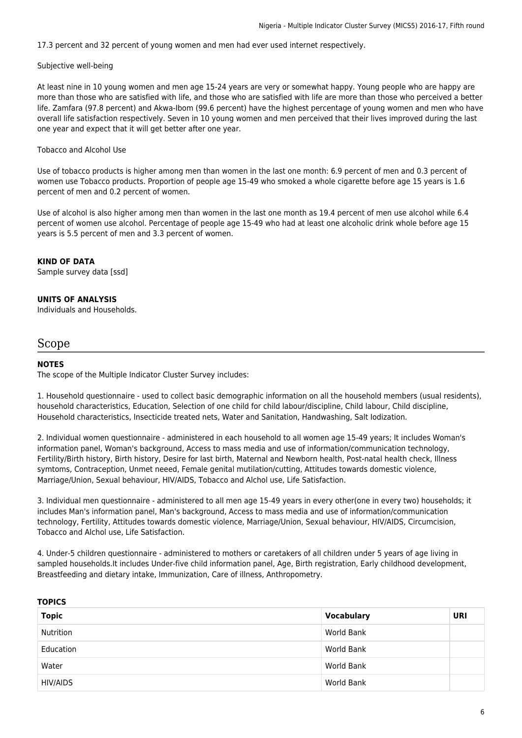17.3 percent and 32 percent of young women and men had ever used internet respectively.

Subjective well-being

At least nine in 10 young women and men age 15-24 years are very or somewhat happy. Young people who are happy are more than those who are satisfied with life, and those who are satisfied with life are more than those who perceived a better life. Zamfara (97.8 percent) and Akwa-Ibom (99.6 percent) have the highest percentage of young women and men who have overall life satisfaction respectively. Seven in 10 young women and men perceived that their lives improved during the last one year and expect that it will get better after one year.

### Tobacco and Alcohol Use

Use of tobacco products is higher among men than women in the last one month: 6.9 percent of men and 0.3 percent of women use Tobacco products. Proportion of people age 15-49 who smoked a whole cigarette before age 15 years is 1.6 percent of men and 0.2 percent of women.

Use of alcohol is also higher among men than women in the last one month as 19.4 percent of men use alcohol while 6.4 percent of women use alcohol. Percentage of people age 15-49 who had at least one alcoholic drink whole before age 15 years is 5.5 percent of men and 3.3 percent of women.

**KIND OF DATA** Sample survey data [ssd]

### **UNITS OF ANALYSIS**

Individuals and Households.

### Scope

### **NOTES**

**TOPICS**

The scope of the Multiple Indicator Cluster Survey includes:

1. Household questionnaire - used to collect basic demographic information on all the household members (usual residents), household characteristics, Education, Selection of one child for child labour/discipline, Child labour, Child discipline, Household characteristics, Insecticide treated nets, Water and Sanitation, Handwashing, Salt Iodization.

2. Individual women questionnaire - administered in each household to all women age 15-49 years; It includes Woman's information panel, Woman's background, Access to mass media and use of information/communication technology, Fertility/Birth history, Birth history, Desire for last birth, Maternal and Newborn health, Post-natal health check, Illness symtoms, Contraception, Unmet neeed, Female genital mutilation/cutting, Attitudes towards domestic violence, Marriage/Union, Sexual behaviour, HIV/AIDS, Tobacco and Alchol use, Life Satisfaction.

3. Individual men questionnaire - administered to all men age 15-49 years in every other(one in every two) households; it includes Man's information panel, Man's background, Access to mass media and use of information/communication technology, Fertility, Attitudes towards domestic violence, Marriage/Union, Sexual behaviour, HIV/AIDS, Circumcision, Tobacco and Alchol use, Life Satisfaction.

4. Under-5 children questionnaire - administered to mothers or caretakers of all children under 5 years of age living in sampled households.It includes Under-five child information panel, Age, Birth registration, Early childhood development, Breastfeeding and dietary intake, Immunization, Care of illness, Anthropometry.

| <b>IUPILS</b> |                   |     |  |  |
|---------------|-------------------|-----|--|--|
| <b>Topic</b>  | <b>Vocabulary</b> | URI |  |  |
| Nutrition     | World Bank        |     |  |  |
| Education     | World Bank        |     |  |  |
| Water         | World Bank        |     |  |  |
| HIV/AIDS      | World Bank        |     |  |  |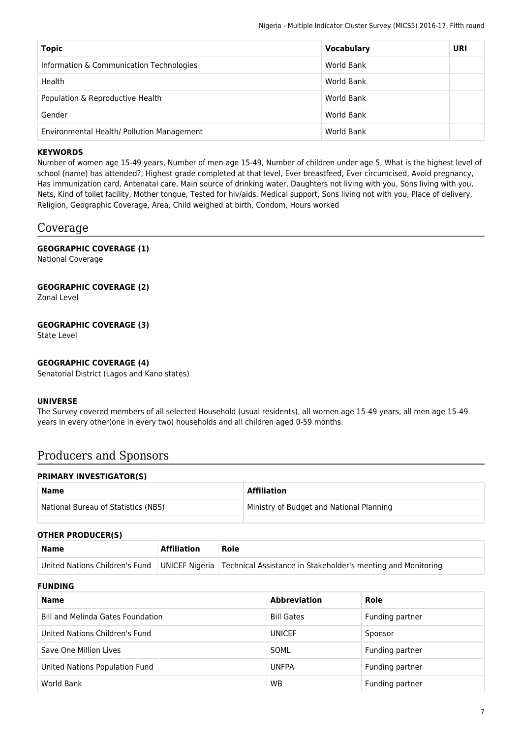| <b>Topic</b>                               | <b>Vocabulary</b> | URI |
|--------------------------------------------|-------------------|-----|
| Information & Communication Technologies   | World Bank        |     |
| Health                                     | World Bank        |     |
| Population & Reproductive Health           | World Bank        |     |
| Gender                                     | World Bank        |     |
| Environmental Health/ Pollution Management | World Bank        |     |

#### **KEYWORDS**

Number of women age 15-49 years, Number of men age 15-49, Number of children under age 5, What is the highest level of school (name) has attended?, Highest grade completed at that level, Ever breastfeed, Ever circumcised, Avoid pregnancy, Has immunization card, Antenatal care, Main source of drinking water, Daughters not living with you, Sons living with you, Nets, Kind of toilet facility, Mother tongue, Tested for hiv/aids, Medical support, Sons living not with you, Place of delivery, Religion, Geographic Coverage, Area, Child weighed at birth, Condom, Hours worked

### Coverage

### **GEOGRAPHIC COVERAGE (1)**

National Coverage

### **GEOGRAPHIC COVERAGE (2)**

Zonal Level

### **GEOGRAPHIC COVERAGE (3)**

State Level

### **GEOGRAPHIC COVERAGE (4)**

Senatorial District (Lagos and Kano states)

#### **UNIVERSE**

The Survey covered members of all selected Household (usual residents), all women age 15-49 years, all men age 15-49 years in every other(one in every two) households and all children aged 0-59 months.

### Producers and Sponsors

#### **PRIMARY INVESTIGATOR(S)**

| Ministry of Budget and National Planning |
|------------------------------------------|
|                                          |

#### **OTHER PRODUCER(S)**

| <b>Name</b> | <b>Affiliation</b> | Role                                                                                                           |
|-------------|--------------------|----------------------------------------------------------------------------------------------------------------|
|             |                    | United Nations Children's Fund   UNICEF Nigeria   Technical Assistance in Stakeholder's meeting and Monitoring |

### **FUNDING**

| <b>Name</b>                       | <b>Abbreviation</b> | Role            |
|-----------------------------------|---------------------|-----------------|
| Bill and Melinda Gates Foundation | <b>Bill Gates</b>   | Funding partner |
| United Nations Children's Fund    | <b>UNICEF</b>       | Sponsor         |
| Save One Million Lives            | SOML                | Funding partner |
| United Nations Population Fund    | <b>UNFPA</b>        | Funding partner |
| World Bank                        | WB                  | Funding partner |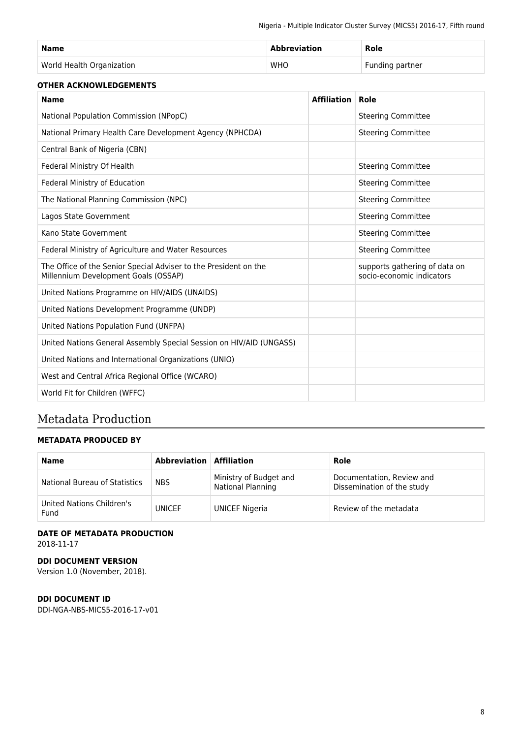| <b>Name</b>               | <b>Abbreviation</b> | Role            |
|---------------------------|---------------------|-----------------|
| World Health Organization | <b>WHO</b>          | Funding partner |

### **OTHER ACKNOWLEDGEMENTS**

| <b>Name</b>                                                                                              | <b>Affiliation</b> | Role                                                       |
|----------------------------------------------------------------------------------------------------------|--------------------|------------------------------------------------------------|
| National Population Commission (NPopC)                                                                   |                    | <b>Steering Committee</b>                                  |
| National Primary Health Care Development Agency (NPHCDA)                                                 |                    | <b>Steering Committee</b>                                  |
| Central Bank of Nigeria (CBN)                                                                            |                    |                                                            |
| Federal Ministry Of Health                                                                               |                    | <b>Steering Committee</b>                                  |
| Federal Ministry of Education                                                                            |                    | <b>Steering Committee</b>                                  |
| The National Planning Commission (NPC)                                                                   |                    | <b>Steering Committee</b>                                  |
| Lagos State Government                                                                                   |                    | <b>Steering Committee</b>                                  |
| Kano State Government                                                                                    |                    | <b>Steering Committee</b>                                  |
| Federal Ministry of Agriculture and Water Resources                                                      |                    | <b>Steering Committee</b>                                  |
| The Office of the Senior Special Adviser to the President on the<br>Millennium Development Goals (OSSAP) |                    | supports gathering of data on<br>socio-economic indicators |
| United Nations Programme on HIV/AIDS (UNAIDS)                                                            |                    |                                                            |
| United Nations Development Programme (UNDP)                                                              |                    |                                                            |
| United Nations Population Fund (UNFPA)                                                                   |                    |                                                            |
| United Nations General Assembly Special Session on HIV/AID (UNGASS)                                      |                    |                                                            |
| United Nations and International Organizations (UNIO)                                                    |                    |                                                            |
| West and Central Africa Regional Office (WCARO)                                                          |                    |                                                            |
| World Fit for Children (WFFC)                                                                            |                    |                                                            |

### Metadata Production

### **METADATA PRODUCED BY**

| <b>Name</b>                       | <b>Abbreviation   Affiliation</b> |                                             | Role                                                    |
|-----------------------------------|-----------------------------------|---------------------------------------------|---------------------------------------------------------|
| National Bureau of Statistics     | <b>NBS</b>                        | Ministry of Budget and<br>National Planning | Documentation, Review and<br>Dissemination of the study |
| United Nations Children's<br>Fund | <b>UNICEF</b>                     | <b>UNICEF Nigeria</b>                       | Review of the metadata                                  |

#### **DATE OF METADATA PRODUCTION** 2018-11-17

### **DDI DOCUMENT VERSION**

Version 1.0 (November, 2018).

### **DDI DOCUMENT ID**

DDI-NGA-NBS-MICS5-2016-17-v01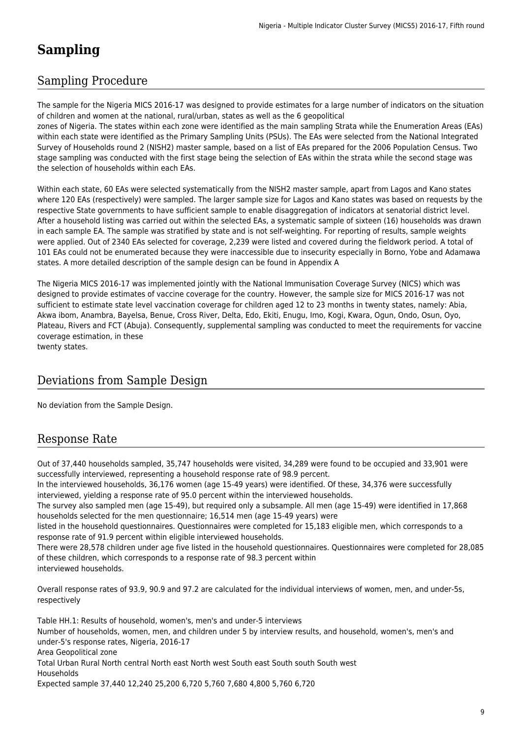# **Sampling**

### Sampling Procedure

The sample for the Nigeria MICS 2016-17 was designed to provide estimates for a large number of indicators on the situation of children and women at the national, rural/urban, states as well as the 6 geopolitical

zones of Nigeria. The states within each zone were identified as the main sampling Strata while the Enumeration Areas (EAs) within each state were identified as the Primary Sampling Units (PSUs). The EAs were selected from the National Integrated Survey of Households round 2 (NISH2) master sample, based on a list of EAs prepared for the 2006 Population Census. Two stage sampling was conducted with the first stage being the selection of EAs within the strata while the second stage was the selection of households within each EAs.

Within each state, 60 EAs were selected systematically from the NISH2 master sample, apart from Lagos and Kano states where 120 EAs (respectively) were sampled. The larger sample size for Lagos and Kano states was based on requests by the respective State governments to have sufficient sample to enable disaggregation of indicators at senatorial district level. After a household listing was carried out within the selected EAs, a systematic sample of sixteen (16) households was drawn in each sample EA. The sample was stratified by state and is not self-weighting. For reporting of results, sample weights were applied. Out of 2340 EAs selected for coverage, 2,239 were listed and covered during the fieldwork period. A total of 101 EAs could not be enumerated because they were inaccessible due to insecurity especially in Borno, Yobe and Adamawa states. A more detailed description of the sample design can be found in Appendix A

The Nigeria MICS 2016-17 was implemented jointly with the National Immunisation Coverage Survey (NICS) which was designed to provide estimates of vaccine coverage for the country. However, the sample size for MICS 2016-17 was not sufficient to estimate state level vaccination coverage for children aged 12 to 23 months in twenty states, namely: Abia, Akwa ibom, Anambra, Bayelsa, Benue, Cross River, Delta, Edo, Ekiti, Enugu, Imo, Kogi, Kwara, Ogun, Ondo, Osun, Oyo, Plateau, Rivers and FCT (Abuja). Consequently, supplemental sampling was conducted to meet the requirements for vaccine coverage estimation, in these

twenty states.

# Deviations from Sample Design

No deviation from the Sample Design.

### Response Rate

Out of 37,440 households sampled, 35,747 households were visited, 34,289 were found to be occupied and 33,901 were successfully interviewed, representing a household response rate of 98.9 percent.

In the interviewed households, 36,176 women (age 15-49 years) were identified. Of these, 34,376 were successfully interviewed, yielding a response rate of 95.0 percent within the interviewed households.

The survey also sampled men (age 15-49), but required only a subsample. All men (age 15-49) were identified in 17,868 households selected for the men questionnaire; 16,514 men (age 15-49 years) were

listed in the household questionnaires. Questionnaires were completed for 15,183 eligible men, which corresponds to a response rate of 91.9 percent within eligible interviewed households.

There were 28,578 children under age five listed in the household questionnaires. Questionnaires were completed for 28,085 of these children, which corresponds to a response rate of 98.3 percent within interviewed households.

Overall response rates of 93.9, 90.9 and 97.2 are calculated for the individual interviews of women, men, and under-5s, respectively

Table HH.1: Results of household, women's, men's and under-5 interviews Number of households, women, men, and children under 5 by interview results, and household, women's, men's and under-5's response rates, Nigeria, 2016-17 Area Geopolitical zone Total Urban Rural North central North east North west South east South south South west Households

Expected sample 37,440 12,240 25,200 6,720 5,760 7,680 4,800 5,760 6,720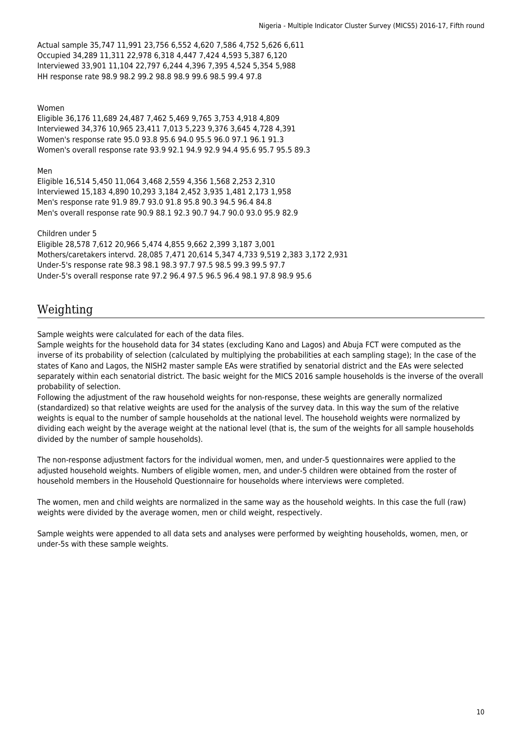Actual sample 35,747 11,991 23,756 6,552 4,620 7,586 4,752 5,626 6,611 Occupied 34,289 11,311 22,978 6,318 4,447 7,424 4,593 5,387 6,120 Interviewed 33,901 11,104 22,797 6,244 4,396 7,395 4,524 5,354 5,988 HH response rate 98.9 98.2 99.2 98.8 98.9 99.6 98.5 99.4 97.8

#### Women

Eligible 36,176 11,689 24,487 7,462 5,469 9,765 3,753 4,918 4,809 Interviewed 34,376 10,965 23,411 7,013 5,223 9,376 3,645 4,728 4,391 Women's response rate 95.0 93.8 95.6 94.0 95.5 96.0 97.1 96.1 91.3 Women's overall response rate 93.9 92.1 94.9 92.9 94.4 95.6 95.7 95.5 89.3

#### Men

Eligible 16,514 5,450 11,064 3,468 2,559 4,356 1,568 2,253 2,310 Interviewed 15,183 4,890 10,293 3,184 2,452 3,935 1,481 2,173 1,958 Men's response rate 91.9 89.7 93.0 91.8 95.8 90.3 94.5 96.4 84.8 Men's overall response rate 90.9 88.1 92.3 90.7 94.7 90.0 93.0 95.9 82.9

Children under 5

Eligible 28,578 7,612 20,966 5,474 4,855 9,662 2,399 3,187 3,001 Mothers/caretakers intervd. 28,085 7,471 20,614 5,347 4,733 9,519 2,383 3,172 2,931 Under-5's response rate 98.3 98.1 98.3 97.7 97.5 98.5 99.3 99.5 97.7 Under-5's overall response rate 97.2 96.4 97.5 96.5 96.4 98.1 97.8 98.9 95.6

### Weighting

Sample weights were calculated for each of the data files.

Sample weights for the household data for 34 states (excluding Kano and Lagos) and Abuja FCT were computed as the inverse of its probability of selection (calculated by multiplying the probabilities at each sampling stage); In the case of the states of Kano and Lagos, the NISH2 master sample EAs were stratified by senatorial district and the EAs were selected separately within each senatorial district. The basic weight for the MICS 2016 sample households is the inverse of the overall probability of selection.

Following the adjustment of the raw household weights for non-response, these weights are generally normalized (standardized) so that relative weights are used for the analysis of the survey data. In this way the sum of the relative weights is equal to the number of sample households at the national level. The household weights were normalized by dividing each weight by the average weight at the national level (that is, the sum of the weights for all sample households divided by the number of sample households).

The non-response adjustment factors for the individual women, men, and under-5 questionnaires were applied to the adjusted household weights. Numbers of eligible women, men, and under-5 children were obtained from the roster of household members in the Household Questionnaire for households where interviews were completed.

The women, men and child weights are normalized in the same way as the household weights. In this case the full (raw) weights were divided by the average women, men or child weight, respectively.

Sample weights were appended to all data sets and analyses were performed by weighting households, women, men, or under-5s with these sample weights.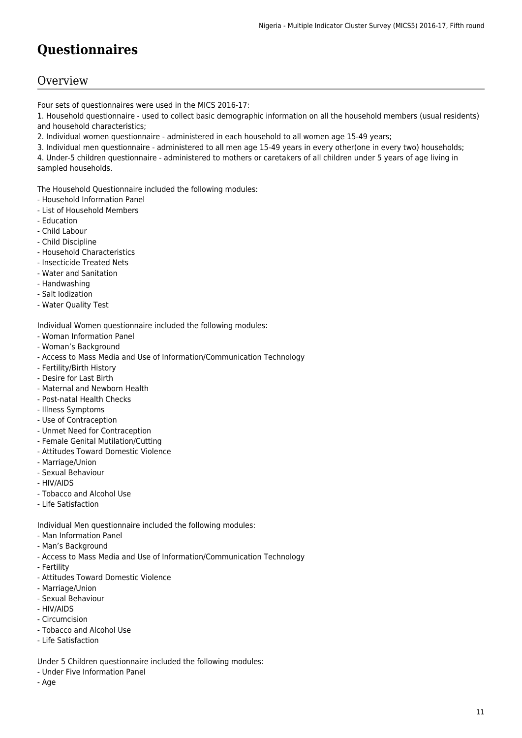# **Questionnaires**

### **Overview**

Four sets of questionnaires were used in the MICS 2016-17:

1. Household questionnaire - used to collect basic demographic information on all the household members (usual residents) and household characteristics;

2. Individual women questionnaire - administered in each household to all women age 15-49 years;

3. Individual men questionnaire - administered to all men age 15-49 years in every other(one in every two) households;

4. Under-5 children questionnaire - administered to mothers or caretakers of all children under 5 years of age living in sampled households.

The Household Questionnaire included the following modules:

- Household Information Panel
- List of Household Members
- Education
- Child Labour
- Child Discipline
- Household Characteristics
- Insecticide Treated Nets
- Water and Sanitation
- Handwashing
- Salt Iodization
- Water Quality Test

Individual Women questionnaire included the following modules:

- Woman Information Panel
- Woman's Background
- Access to Mass Media and Use of Information/Communication Technology
- Fertility/Birth History
- Desire for Last Birth
- Maternal and Newborn Health
- Post-natal Health Checks
- Illness Symptoms
- Use of Contraception
- Unmet Need for Contraception
- Female Genital Mutilation/Cutting
- Attitudes Toward Domestic Violence
- Marriage/Union
- Sexual Behaviour
- HIV/AIDS
- Tobacco and Alcohol Use
- Life Satisfaction

Individual Men questionnaire included the following modules:

- Man Information Panel
- Man's Background
- Access to Mass Media and Use of Information/Communication Technology
- Fertility
- Attitudes Toward Domestic Violence
- Marriage/Union
- Sexual Behaviour
- HIV/AIDS
- Circumcision
- Tobacco and Alcohol Use
- Life Satisfaction

Under 5 Children questionnaire included the following modules:

- Under Five Information Panel
- Age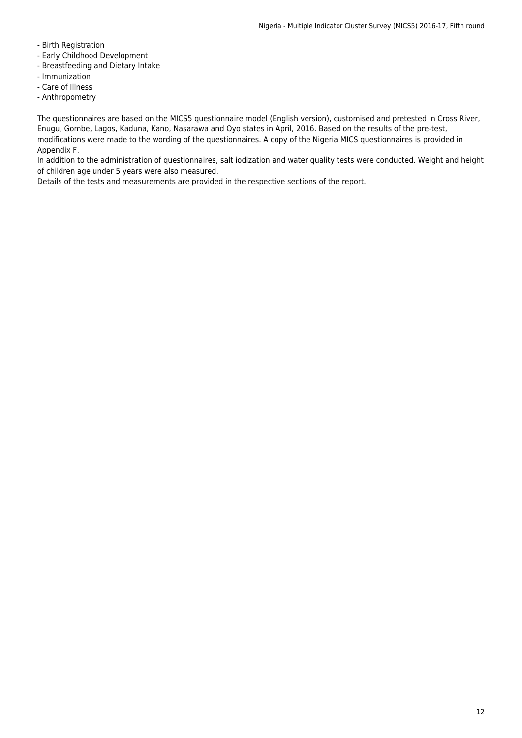- Birth Registration
- Early Childhood Development
- Breastfeeding and Dietary Intake
- Immunization
- Care of Illness
- Anthropometry

The questionnaires are based on the MICS5 questionnaire model (English version), customised and pretested in Cross River, Enugu, Gombe, Lagos, Kaduna, Kano, Nasarawa and Oyo states in April, 2016. Based on the results of the pre-test, modifications were made to the wording of the questionnaires. A copy of the Nigeria MICS questionnaires is provided in Appendix F.

In addition to the administration of questionnaires, salt iodization and water quality tests were conducted. Weight and height of children age under 5 years were also measured.

Details of the tests and measurements are provided in the respective sections of the report.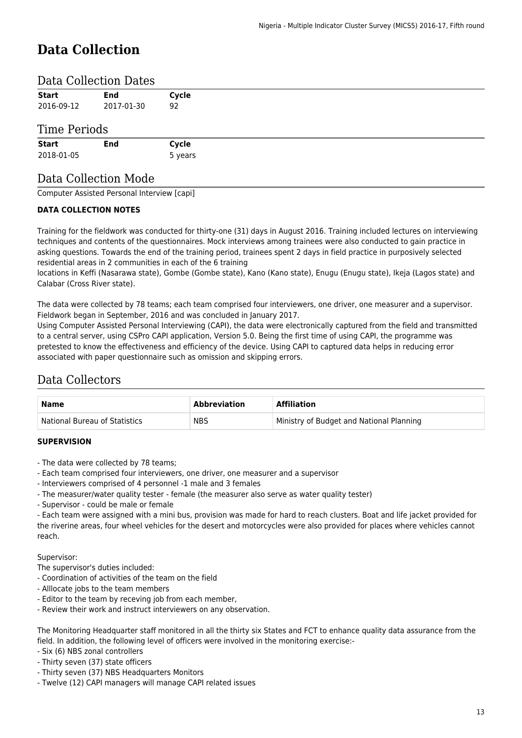# **Data Collection**

### Data Collection Dates

| <b>Start</b> | End        | ^ycle |
|--------------|------------|-------|
| 2016-09-12   | 2017-01-30 | 92    |
|              |            |       |

### Time Periods

| <b>Start</b> | End | Cycle |
|--------------|-----|-------|
| 2018-01-05   |     | years |

### Data Collection Mode

Computer Assisted Personal Interview [capi]

### **DATA COLLECTION NOTES**

Training for the fieldwork was conducted for thirty-one (31) days in August 2016. Training included lectures on interviewing techniques and contents of the questionnaires. Mock interviews among trainees were also conducted to gain practice in asking questions. Towards the end of the training period, trainees spent 2 days in field practice in purposively selected residential areas in 2 communities in each of the 6 training

locations in Keffi (Nasarawa state), Gombe (Gombe state), Kano (Kano state), Enugu (Enugu state), Ikeja (Lagos state) and Calabar (Cross River state).

The data were collected by 78 teams; each team comprised four interviewers, one driver, one measurer and a supervisor. Fieldwork began in September, 2016 and was concluded in January 2017.

Using Computer Assisted Personal Interviewing (CAPI), the data were electronically captured from the field and transmitted to a central server, using CSPro CAPI application, Version 5.0. Being the first time of using CAPI, the programme was pretested to know the effectiveness and efficiency of the device. Using CAPI to captured data helps in reducing error associated with paper questionnaire such as omission and skipping errors.

### Data Collectors

| <b>Name</b>                   | <b>Abbreviation</b> | <b>Affiliation</b>                       |
|-------------------------------|---------------------|------------------------------------------|
| National Bureau of Statistics | <b>NBS</b>          | Ministry of Budget and National Planning |

### **SUPERVISION**

- The data were collected by 78 teams;
- Each team comprised four interviewers, one driver, one measurer and a supervisor
- Interviewers comprised of 4 personnel -1 male and 3 females
- The measurer/water quality tester female (the measurer also serve as water quality tester)
- Supervisor could be male or female

- Each team were assigned with a mini bus, provision was made for hard to reach clusters. Boat and life jacket provided for the riverine areas, four wheel vehicles for the desert and motorcycles were also provided for places where vehicles cannot reach.

Supervisor:

The supervisor's duties included:

- Coordination of activities of the team on the field
- Alllocate jobs to the team members
- Editor to the team by receving job from each member,
- Review their work and instruct interviewers on any observation.

The Monitoring Headquarter staff monitored in all the thirty six States and FCT to enhance quality data assurance from the field. In addition, the following level of officers were involved in the monitoring exercise:-

- Six (6) NBS zonal controllers
- Thirty seven (37) state officers
- Thirty seven (37) NBS Headquarters Monitors
- Twelve (12) CAPI managers will manage CAPI related issues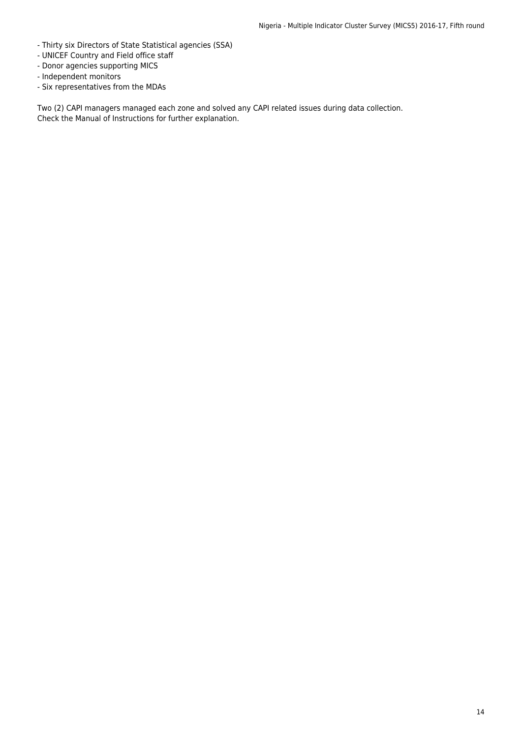- Thirty six Directors of State Statistical agencies (SSA)
- UNICEF Country and Field office staff
- Donor agencies supporting MICS
- Independent monitors
- Six representatives from the MDAs

Two (2) CAPI managers managed each zone and solved any CAPI related issues during data collection. Check the Manual of Instructions for further explanation.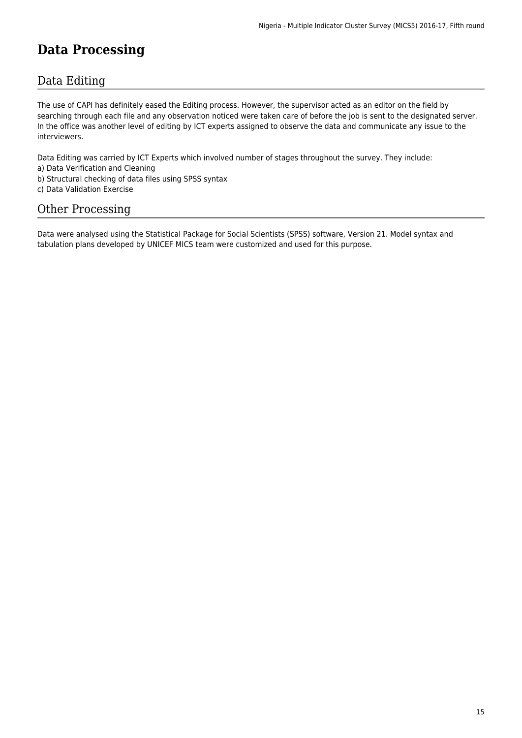# **Data Processing**

### Data Editing

The use of CAPI has definitely eased the Editing process. However, the supervisor acted as an editor on the field by searching through each file and any observation noticed were taken care of before the job is sent to the designated server. In the office was another level of editing by ICT experts assigned to observe the data and communicate any issue to the interviewers.

Data Editing was carried by ICT Experts which involved number of stages throughout the survey. They include: a) Data Verification and Cleaning b) Structural checking of data files using SPSS syntax c) Data Validation Exercise

### Other Processing

Data were analysed using the Statistical Package for Social Scientists (SPSS) software, Version 21. Model syntax and tabulation plans developed by UNICEF MICS team were customized and used for this purpose.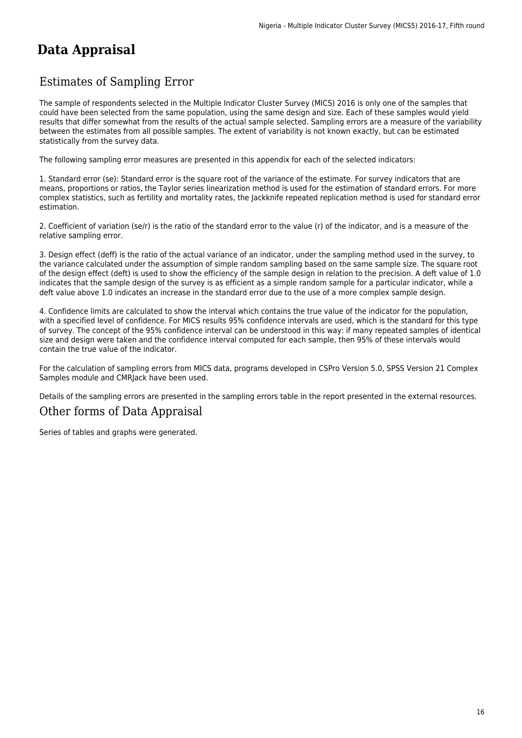# **Data Appraisal**

# Estimates of Sampling Error

The sample of respondents selected in the Multiple Indicator Cluster Survey (MICS) 2016 is only one of the samples that could have been selected from the same population, using the same design and size. Each of these samples would yield results that differ somewhat from the results of the actual sample selected. Sampling errors are a measure of the variability between the estimates from all possible samples. The extent of variability is not known exactly, but can be estimated statistically from the survey data.

The following sampling error measures are presented in this appendix for each of the selected indicators:

1. Standard error (se): Standard error is the square root of the variance of the estimate. For survey indicators that are means, proportions or ratios, the Taylor series linearization method is used for the estimation of standard errors. For more complex statistics, such as fertility and mortality rates, the Jackknife repeated replication method is used for standard error estimation.

2. Coefficient of variation (se/r) is the ratio of the standard error to the value (r) of the indicator, and is a measure of the relative sampling error.

3. Design effect (deff) is the ratio of the actual variance of an indicator, under the sampling method used in the survey, to the variance calculated under the assumption of simple random sampling based on the same sample size. The square root of the design effect (deft) is used to show the efficiency of the sample design in relation to the precision. A deft value of 1.0 indicates that the sample design of the survey is as efficient as a simple random sample for a particular indicator, while a deft value above 1.0 indicates an increase in the standard error due to the use of a more complex sample design.

4. Confidence limits are calculated to show the interval which contains the true value of the indicator for the population, with a specified level of confidence. For MICS results 95% confidence intervals are used, which is the standard for this type of survey. The concept of the 95% confidence interval can be understood in this way: if many repeated samples of identical size and design were taken and the confidence interval computed for each sample, then 95% of these intervals would contain the true value of the indicator.

For the calculation of sampling errors from MICS data, programs developed in CSPro Version 5.0, SPSS Version 21 Complex Samples module and CMRJack have been used.

Details of the sampling errors are presented in the sampling errors table in the report presented in the external resources. Other forms of Data Appraisal

Series of tables and graphs were generated.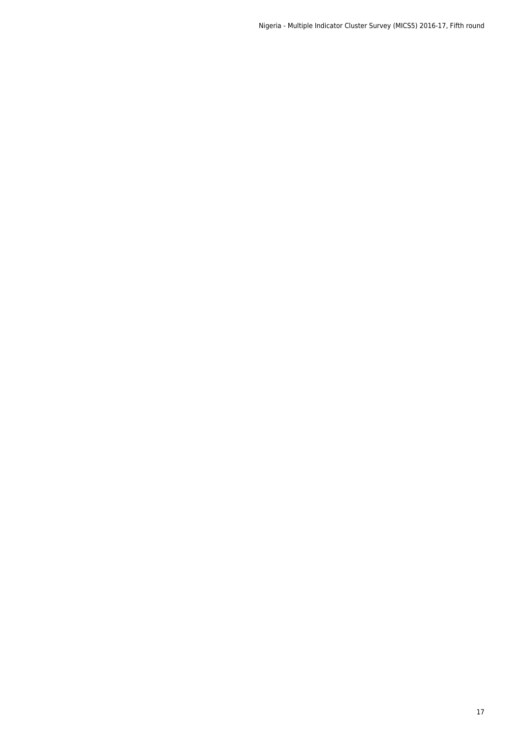Nigeria - Multiple Indicator Cluster Survey (MICS5) 2016-17, Fifth round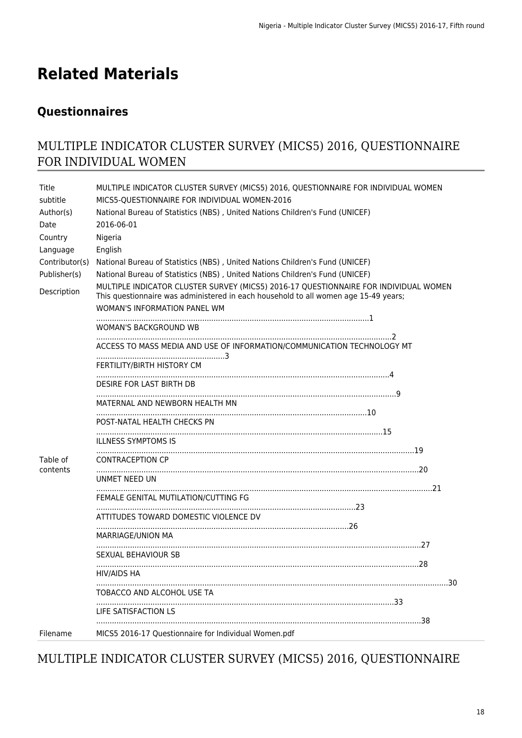# **Related Materials**

# **Questionnaires**

# MULTIPLE INDICATOR CLUSTER SURVEY (MICS5) 2016, QUESTIONNAIRE FOR INDIVIDUAL WOMEN

| Title                | MULTIPLE INDICATOR CLUSTER SURVEY (MICS5) 2016, QUESTIONNAIRE FOR INDIVIDUAL WOMEN                                                                                                                                 |
|----------------------|--------------------------------------------------------------------------------------------------------------------------------------------------------------------------------------------------------------------|
| subtitle             | MICS5-QUESTIONNAIRE FOR INDIVIDUAL WOMEN-2016                                                                                                                                                                      |
| Author(s)            | National Bureau of Statistics (NBS), United Nations Children's Fund (UNICEF)                                                                                                                                       |
| Date                 | 2016-06-01                                                                                                                                                                                                         |
| Country              | Nigeria                                                                                                                                                                                                            |
| Language             | English                                                                                                                                                                                                            |
| Contributor(s)       | National Bureau of Statistics (NBS), United Nations Children's Fund (UNICEF)                                                                                                                                       |
| Publisher(s)         | National Bureau of Statistics (NBS), United Nations Children's Fund (UNICEF)                                                                                                                                       |
| Description          | MULTIPLE INDICATOR CLUSTER SURVEY (MICS5) 2016-17 QUESTIONNAIRE FOR INDIVIDUAL WOMEN<br>This questionnaire was administered in each household to all women age 15-49 years;<br><b>WOMAN'S INFORMATION PANEL WM</b> |
|                      | <b>WOMAN'S BACKGROUND WB</b>                                                                                                                                                                                       |
|                      | ACCESS TO MASS MEDIA AND USE OF INFORMATION/COMMUNICATION TECHNOLOGY MT                                                                                                                                            |
|                      | FERTILITY/BIRTH HISTORY CM                                                                                                                                                                                         |
|                      | DESIRE FOR LAST BIRTH DB                                                                                                                                                                                           |
|                      | MATERNAL AND NEWBORN HEALTH MN                                                                                                                                                                                     |
|                      | POST-NATAL HEALTH CHECKS PN                                                                                                                                                                                        |
|                      | <b>ILLNESS SYMPTOMS IS</b>                                                                                                                                                                                         |
| Table of<br>contents | <b>CONTRACEPTION CP</b>                                                                                                                                                                                            |
|                      | UNMET NEED UN                                                                                                                                                                                                      |
|                      | FEMALE GENITAL MUTILATION/CUTTING FG                                                                                                                                                                               |
|                      | ATTITUDES TOWARD DOMESTIC VIOLENCE DV                                                                                                                                                                              |
|                      | MARRIAGE/UNION MA                                                                                                                                                                                                  |
|                      | SEXUAL BEHAVIOUR SB                                                                                                                                                                                                |
|                      | <b>HIV/AIDS HA</b>                                                                                                                                                                                                 |
|                      | TOBACCO AND ALCOHOL USE TA                                                                                                                                                                                         |
|                      | LIFE SATISFACTION LS                                                                                                                                                                                               |
| Filename             | MICS5 2016-17 Questionnaire for Individual Women.pdf                                                                                                                                                               |

MULTIPLE INDICATOR CLUSTER SURVEY (MICS5) 2016, QUESTIONNAIRE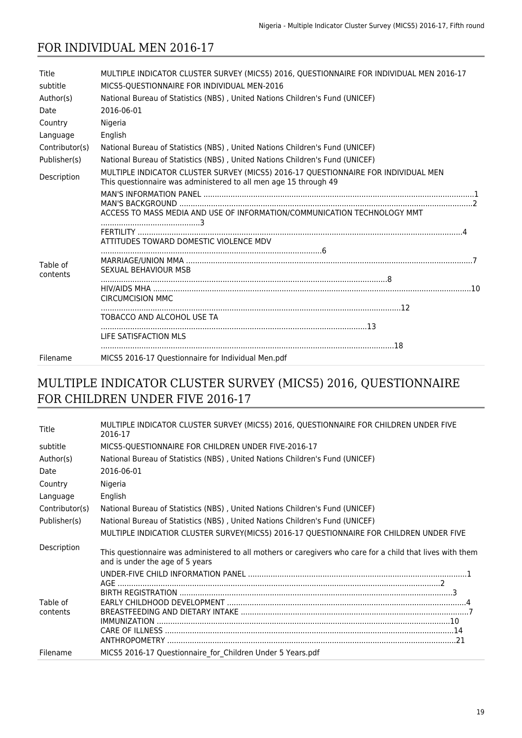# FOR INDIVIDUAL MEN 2016-17

| Title          | MULTIPLE INDICATOR CLUSTER SURVEY (MICS5) 2016, QUESTIONNAIRE FOR INDIVIDUAL MEN 2016-17                                                               |
|----------------|--------------------------------------------------------------------------------------------------------------------------------------------------------|
| subtitle       | MICS5-OUESTIONNAIRE FOR INDIVIDUAL MEN-2016                                                                                                            |
| Author(s)      | National Bureau of Statistics (NBS), United Nations Children's Fund (UNICEF)                                                                           |
| Date           | 2016-06-01                                                                                                                                             |
| Country        | Nigeria                                                                                                                                                |
| Language       | English                                                                                                                                                |
| Contributor(s) | National Bureau of Statistics (NBS), United Nations Children's Fund (UNICEF)                                                                           |
| Publisher(s)   | National Bureau of Statistics (NBS), United Nations Children's Fund (UNICEF)                                                                           |
| Description    | MULTIPLE INDICATOR CLUSTER SURVEY (MICS5) 2016-17 QUESTIONNAIRE FOR INDIVIDUAL MEN<br>This questionnaire was administered to all men age 15 through 49 |
|                |                                                                                                                                                        |
|                |                                                                                                                                                        |
|                | ACCESS TO MASS MEDIA AND USE OF INFORMATION/COMMUNICATION TECHNOLOGY MMT                                                                               |
|                |                                                                                                                                                        |
|                | ATTITUDES TOWARD DOMESTIC VIOLENCE MDV                                                                                                                 |
|                |                                                                                                                                                        |
| Table of       | SEXUAL BEHAVIOUR MSB                                                                                                                                   |
| contents       |                                                                                                                                                        |
|                |                                                                                                                                                        |
|                | <b>CIRCUMCISION MMC</b>                                                                                                                                |
|                | TOBACCO AND ALCOHOL USE TA                                                                                                                             |
|                |                                                                                                                                                        |
|                | LIFE SATISFACTION MLS                                                                                                                                  |
| Filename       | MICS5 2016-17 Questionnaire for Individual Men.pdf                                                                                                     |

# MULTIPLE INDICATOR CLUSTER SURVEY (MICS5) 2016, QUESTIONNAIRE FOR CHILDREN UNDER FIVE 2016-17

| Title          | MULTIPLE INDICATOR CLUSTER SURVEY (MICS5) 2016, QUESTIONNAIRE FOR CHILDREN UNDER FIVE<br>2016-17                                              |  |
|----------------|-----------------------------------------------------------------------------------------------------------------------------------------------|--|
| subtitle       | MICS5-QUESTIONNAIRE FOR CHILDREN UNDER FIVE-2016-17                                                                                           |  |
| Author(s)      | National Bureau of Statistics (NBS), United Nations Children's Fund (UNICEF)                                                                  |  |
| Date           | 2016-06-01                                                                                                                                    |  |
| Country        | Nigeria                                                                                                                                       |  |
| Language       | English                                                                                                                                       |  |
| Contributor(s) | National Bureau of Statistics (NBS), United Nations Children's Fund (UNICEF)                                                                  |  |
| Publisher(s)   | National Bureau of Statistics (NBS), United Nations Children's Fund (UNICEF)                                                                  |  |
|                | MULTIPLE INDICATIOR CLUSTER SURVEY(MICS5) 2016-17 QUESTIONNAIRE FOR CHILDREN UNDER FIVE                                                       |  |
| Description    | This questionnaire was administered to all mothers or caregivers who care for a child that lives with them<br>and is under the age of 5 years |  |
|                |                                                                                                                                               |  |
|                |                                                                                                                                               |  |
| Table of       |                                                                                                                                               |  |
| contents       |                                                                                                                                               |  |
|                |                                                                                                                                               |  |
|                |                                                                                                                                               |  |
|                |                                                                                                                                               |  |
| Filename       | MICS5 2016-17 Questionnaire for Children Under 5 Years.pdf                                                                                    |  |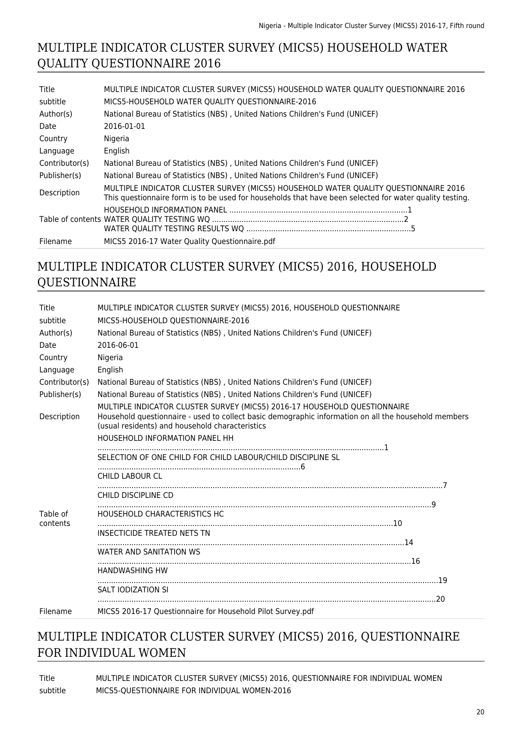# MULTIPLE INDICATOR CLUSTER SURVEY (MICS5) HOUSEHOLD WATER QUALITY QUESTIONNAIRE 2016

| Title          | MULTIPLE INDICATOR CLUSTER SURVEY (MICS5) HOUSEHOLD WATER QUALITY QUESTIONNAIRE 2016                                                                                                            |  |  |
|----------------|-------------------------------------------------------------------------------------------------------------------------------------------------------------------------------------------------|--|--|
| subtitle       | MICS5-HOUSEHOLD WATER OUALITY OUESTIONNAIRE-2016                                                                                                                                                |  |  |
| Author(s)      | National Bureau of Statistics (NBS), United Nations Children's Fund (UNICEF)                                                                                                                    |  |  |
| Date           | 2016-01-01                                                                                                                                                                                      |  |  |
| Country        | Nigeria                                                                                                                                                                                         |  |  |
| Language       | English                                                                                                                                                                                         |  |  |
| Contributor(s) | National Bureau of Statistics (NBS), United Nations Children's Fund (UNICEF)                                                                                                                    |  |  |
| Publisher(s)   | National Bureau of Statistics (NBS), United Nations Children's Fund (UNICEF)                                                                                                                    |  |  |
| Description    | MULTIPLE INDICATOR CLUSTER SURVEY (MICS5) HOUSEHOLD WATER QUALITY QUESTIONNAIRE 2016<br>This questionnaire form is to be used for households that have been selected for water quality testing. |  |  |
|                |                                                                                                                                                                                                 |  |  |
| Filename       | MICS5 2016-17 Water Quality Questionnaire.pdf                                                                                                                                                   |  |  |

# MULTIPLE INDICATOR CLUSTER SURVEY (MICS5) 2016, HOUSEHOLD QUESTIONNAIRE

| Title          | MULTIPLE INDICATOR CLUSTER SURVEY (MICS5) 2016, HOUSEHOLD QUESTIONNAIRE                                                                                                                                                              |  |  |
|----------------|--------------------------------------------------------------------------------------------------------------------------------------------------------------------------------------------------------------------------------------|--|--|
| subtitle       | MICS5-HOUSEHOLD QUESTIONNAIRE-2016                                                                                                                                                                                                   |  |  |
| Author(s)      | National Bureau of Statistics (NBS), United Nations Children's Fund (UNICEF)                                                                                                                                                         |  |  |
| Date           | 2016-06-01                                                                                                                                                                                                                           |  |  |
| Country        | Nigeria                                                                                                                                                                                                                              |  |  |
| Language       | English                                                                                                                                                                                                                              |  |  |
| Contributor(s) | National Bureau of Statistics (NBS), United Nations Children's Fund (UNICEF)                                                                                                                                                         |  |  |
| Publisher(s)   | National Bureau of Statistics (NBS), United Nations Children's Fund (UNICEF)                                                                                                                                                         |  |  |
| Description    | MULTIPLE INDICATOR CLUSTER SURVEY (MICS5) 2016-17 HOUSEHOLD QUESTIONNAIRE<br>Household questionnaire - used to collect basic demographic information on all the household members<br>(usual residents) and household characteristics |  |  |
|                | <b>HOUSEHOLD INFORMATION PANEL HH</b>                                                                                                                                                                                                |  |  |
|                | SELECTION OF ONE CHILD FOR CHILD LABOUR/CHILD DISCIPLINE SL                                                                                                                                                                          |  |  |
|                | CHILD LABOUR CL                                                                                                                                                                                                                      |  |  |
|                | CHILD DISCIPLINE CD                                                                                                                                                                                                                  |  |  |
| Table of       | HOUSEHOLD CHARACTERISTICS HC                                                                                                                                                                                                         |  |  |
| contents       |                                                                                                                                                                                                                                      |  |  |
|                | INSECTICIDE TREATED NETS TN                                                                                                                                                                                                          |  |  |
|                | WATER AND SANITATION WS                                                                                                                                                                                                              |  |  |
|                | <b>HANDWASHING HW</b>                                                                                                                                                                                                                |  |  |
|                | <b>SALT IODIZATION SI</b>                                                                                                                                                                                                            |  |  |
|                |                                                                                                                                                                                                                                      |  |  |
| Filename       | MICS5 2016-17 Questionnaire for Household Pilot Survey.pdf                                                                                                                                                                           |  |  |

# MULTIPLE INDICATOR CLUSTER SURVEY (MICS5) 2016, QUESTIONNAIRE FOR INDIVIDUAL WOMEN

Title MULTIPLE INDICATOR CLUSTER SURVEY (MICS5) 2016, QUESTIONNAIRE FOR INDIVIDUAL WOMEN subtitle MICS5-QUESTIONNAIRE FOR INDIVIDUAL WOMEN-2016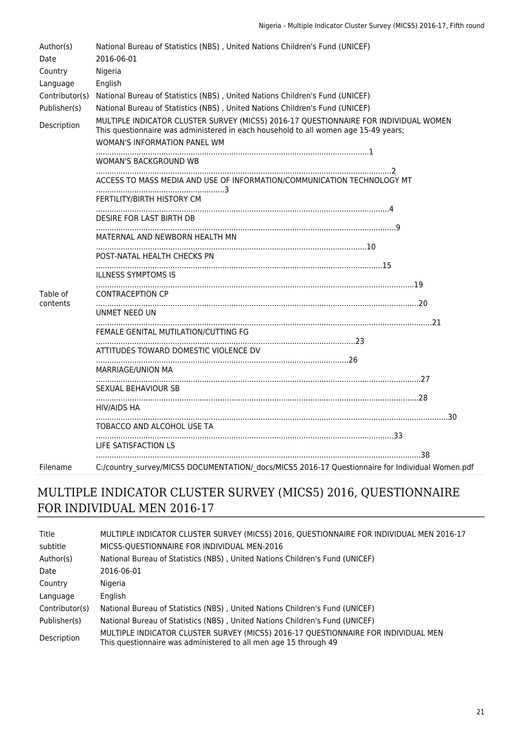| Author(s)                      | National Bureau of Statistics (NBS), United Nations Children's Fund (UNICEF)                                                                                         |  |  |  |
|--------------------------------|----------------------------------------------------------------------------------------------------------------------------------------------------------------------|--|--|--|
| Date                           | 2016-06-01                                                                                                                                                           |  |  |  |
| Country                        | Nigeria                                                                                                                                                              |  |  |  |
| Language                       | English                                                                                                                                                              |  |  |  |
| Contributor(s)<br>Publisher(s) | National Bureau of Statistics (NBS), United Nations Children's Fund (UNICEF)                                                                                         |  |  |  |
|                                | National Bureau of Statistics (NBS), United Nations Children's Fund (UNICEF)<br>MULTIPLE INDICATOR CLUSTER SURVEY (MICS5) 2016-17 QUESTIONNAIRE FOR INDIVIDUAL WOMEN |  |  |  |
| Description                    | This questionnaire was administered in each household to all women age 15-49 years;                                                                                  |  |  |  |
|                                | <b>WOMAN'S INFORMATION PANEL WM</b>                                                                                                                                  |  |  |  |
|                                | WOMAN'S BACKGROUND WB                                                                                                                                                |  |  |  |
|                                | ACCESS TO MASS MEDIA AND USE OF INFORMATION/COMMUNICATION TECHNOLOGY MT                                                                                              |  |  |  |
|                                | FERTILITY/BIRTH HISTORY CM                                                                                                                                           |  |  |  |
|                                | DESIRE FOR LAST BIRTH DB                                                                                                                                             |  |  |  |
|                                | MATERNAL AND NEWBORN HEALTH MN                                                                                                                                       |  |  |  |
|                                | POST-NATAL HEALTH CHECKS PN                                                                                                                                          |  |  |  |
|                                | <b>ILLNESS SYMPTOMS IS</b>                                                                                                                                           |  |  |  |
| Table of                       | CONTRACEPTION CP                                                                                                                                                     |  |  |  |
| contents                       | UNMET NEED UN                                                                                                                                                        |  |  |  |
|                                | FEMALE GENITAL MUTILATION/CUTTING FG                                                                                                                                 |  |  |  |
|                                |                                                                                                                                                                      |  |  |  |
|                                | ATTITUDES TOWARD DOMESTIC VIOLENCE DV                                                                                                                                |  |  |  |
|                                | MARRIAGE/UNION MA                                                                                                                                                    |  |  |  |
|                                | SEXUAL BEHAVIOUR SB                                                                                                                                                  |  |  |  |
|                                | HIV/AIDS HA                                                                                                                                                          |  |  |  |
|                                | TOBACCO AND ALCOHOL USE TA                                                                                                                                           |  |  |  |
|                                |                                                                                                                                                                      |  |  |  |
|                                | LIFE SATISFACTION LS                                                                                                                                                 |  |  |  |
| Filename                       | C:/country_survey/MICS5 DOCUMENTATION/_docs/MICS5 2016-17 Questionnaire for Individual Women.pdf                                                                     |  |  |  |

# MULTIPLE INDICATOR CLUSTER SURVEY (MICS5) 2016, QUESTIONNAIRE FOR INDIVIDUAL MEN 2016-17

| Title          | MULTIPLE INDICATOR CLUSTER SURVEY (MICS5) 2016, QUESTIONNAIRE FOR INDIVIDUAL MEN 2016-17                                                               |
|----------------|--------------------------------------------------------------------------------------------------------------------------------------------------------|
| subtitle       | MICS5-QUESTIONNAIRE FOR INDIVIDUAL MEN-2016                                                                                                            |
| Author(s)      | National Bureau of Statistics (NBS), United Nations Children's Fund (UNICEF)                                                                           |
| Date           | 2016-06-01                                                                                                                                             |
| Country        | Nigeria                                                                                                                                                |
| Language       | English                                                                                                                                                |
| Contributor(s) | National Bureau of Statistics (NBS), United Nations Children's Fund (UNICEF)                                                                           |
| Publisher(s)   | National Bureau of Statistics (NBS), United Nations Children's Fund (UNICEF)                                                                           |
| Description    | MULTIPLE INDICATOR CLUSTER SURVEY (MICS5) 2016-17 QUESTIONNAIRE FOR INDIVIDUAL MEN<br>This questionnaire was administered to all men age 15 through 49 |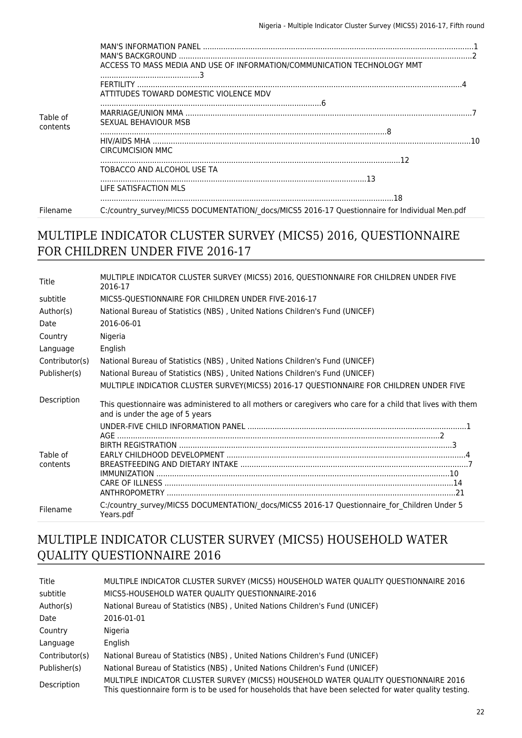| Table of<br>contents | ACCESS TO MASS MEDIA AND USE OF INFORMATION/COMMUNICATION TECHNOLOGY MMT                       |  |
|----------------------|------------------------------------------------------------------------------------------------|--|
|                      | ATTITUDES TOWARD DOMESTIC VIOLENCE MDV                                                         |  |
|                      | SEXUAL BEHAVIOUR MSB                                                                           |  |
|                      | <b>CIRCUMCISION MMC</b>                                                                        |  |
|                      | TOBACCO AND AI COHOL USE TA                                                                    |  |
|                      | LIFE SATISFACTION MLS                                                                          |  |
| Filename             | C:/country survey/MICS5 DOCUMENTATION/ docs/MICS5 2016-17 Questionnaire for Individual Men.pdf |  |

### MULTIPLE INDICATOR CLUSTER SURVEY (MICS5) 2016, QUESTIONNAIRE FOR CHILDREN UNDER FIVE 2016-17

| Title                | MULTIPLE INDICATOR CLUSTER SURVEY (MICS5) 2016, QUESTIONNAIRE FOR CHILDREN UNDER FIVE<br>2016-17                                              |  |
|----------------------|-----------------------------------------------------------------------------------------------------------------------------------------------|--|
| subtitle             | MICS5-QUESTIONNAIRE FOR CHILDREN UNDER FIVE-2016-17                                                                                           |  |
| Author(s)            | National Bureau of Statistics (NBS), United Nations Children's Fund (UNICEF)                                                                  |  |
| Date                 | 2016-06-01                                                                                                                                    |  |
| Country              | Nigeria                                                                                                                                       |  |
| Language             | English                                                                                                                                       |  |
| Contributor(s)       | National Bureau of Statistics (NBS), United Nations Children's Fund (UNICEF)                                                                  |  |
| Publisher(s)         | National Bureau of Statistics (NBS), United Nations Children's Fund (UNICEF)                                                                  |  |
|                      | MULTIPLE INDICATIOR CLUSTER SURVEY(MICS5) 2016-17 QUESTIONNAIRE FOR CHILDREN UNDER FIVE                                                       |  |
| Description          | This questionnaire was administered to all mothers or caregivers who care for a child that lives with them<br>and is under the age of 5 years |  |
| Table of<br>contents |                                                                                                                                               |  |
| Filename             | C:/country survey/MICS5 DOCUMENTATION/ docs/MICS5 2016-17 Questionnaire for Children Under 5<br>Years.pdf                                     |  |

# MULTIPLE INDICATOR CLUSTER SURVEY (MICS5) HOUSEHOLD WATER QUALITY QUESTIONNAIRE 2016

| Title          | MULTIPLE INDICATOR CLUSTER SURVEY (MICS5) HOUSEHOLD WATER QUALITY QUESTIONNAIRE 2016                                                                                                            |
|----------------|-------------------------------------------------------------------------------------------------------------------------------------------------------------------------------------------------|
| subtitle       | MICS5-HOUSEHOLD WATER OUALITY OUESTIONNAIRE-2016                                                                                                                                                |
| Author(s)      | National Bureau of Statistics (NBS), United Nations Children's Fund (UNICEF)                                                                                                                    |
| Date           | 2016-01-01                                                                                                                                                                                      |
| Country        | Nigeria                                                                                                                                                                                         |
| Language       | English                                                                                                                                                                                         |
| Contributor(s) | National Bureau of Statistics (NBS), United Nations Children's Fund (UNICEF)                                                                                                                    |
| Publisher(s)   | National Bureau of Statistics (NBS), United Nations Children's Fund (UNICEF)                                                                                                                    |
| Description    | MULTIPLE INDICATOR CLUSTER SURVEY (MICS5) HOUSEHOLD WATER QUALITY QUESTIONNAIRE 2016<br>This questionnaire form is to be used for households that have been selected for water quality testing. |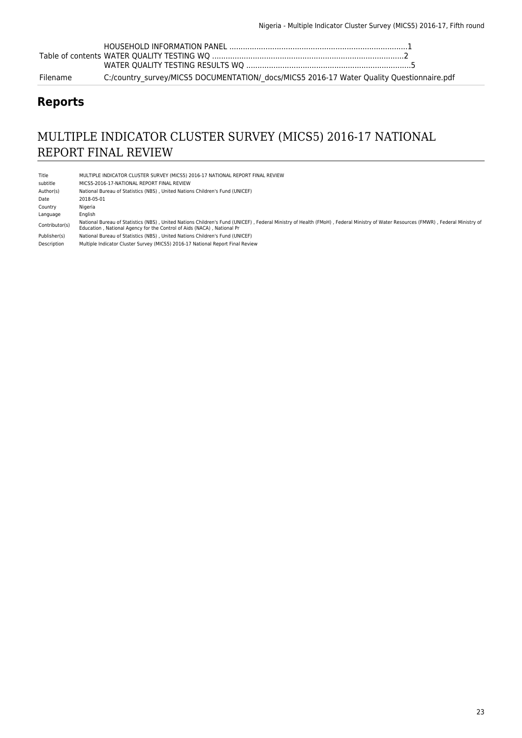| Filename | C:/country_survey/MICS5_DOCUMENTATION/_docs/MICS5_2016-17_Water_Quality_Questionnaire.pdf |  |
|----------|-------------------------------------------------------------------------------------------|--|

### **Reports**

# MULTIPLE INDICATOR CLUSTER SURVEY (MICS5) 2016-17 NATIONAL REPORT FINAL REVIEW

| Title          | MULTIPLE INDICATOR CLUSTER SURVEY (MICS5) 2016-17 NATIONAL REPORT FINAL REVIEW                                                                                                                                                                             |
|----------------|------------------------------------------------------------------------------------------------------------------------------------------------------------------------------------------------------------------------------------------------------------|
| subtitle       | MICS5-2016-17-NATIONAL REPORT FINAL REVIEW                                                                                                                                                                                                                 |
| Author(s)      | National Bureau of Statistics (NBS). United Nations Children's Fund (UNICEF)                                                                                                                                                                               |
| Date           | 2018-05-01                                                                                                                                                                                                                                                 |
| Country        | Nigeria                                                                                                                                                                                                                                                    |
| Language       | English                                                                                                                                                                                                                                                    |
| Contributor(s) | National Bureau of Statistics (NBS), United Nations Children's Fund (UNICEF), Federal Ministry of Health (FMoH), Federal Ministry of Water Resources (FMWR), Federal Ministry of<br>Education, National Agency for the Control of Aids (NACA), National Pr |
| Publisher(s)   | National Bureau of Statistics (NBS). United Nations Children's Fund (UNICEF)                                                                                                                                                                               |
| Description    | Multiple Indicator Cluster Survey (MICS5) 2016-17 National Report Final Review                                                                                                                                                                             |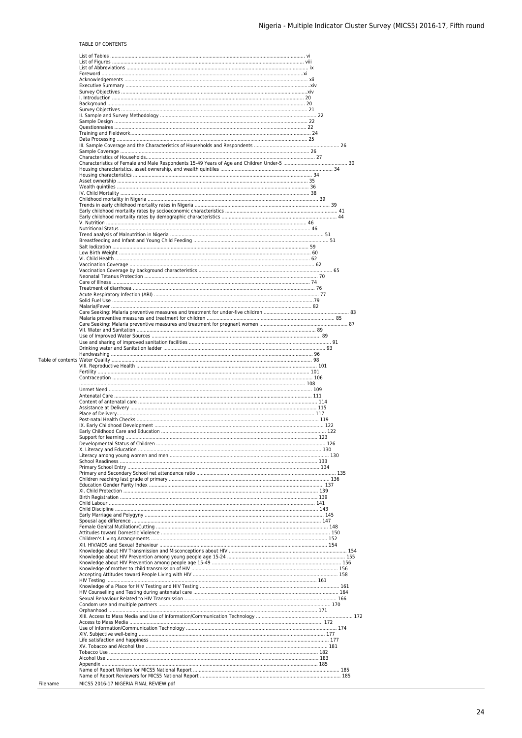|          | <b>TABLE OF CONTENTS</b>               |  |
|----------|----------------------------------------|--|
|          |                                        |  |
|          |                                        |  |
|          |                                        |  |
|          |                                        |  |
|          |                                        |  |
|          |                                        |  |
|          |                                        |  |
|          |                                        |  |
|          |                                        |  |
|          |                                        |  |
|          |                                        |  |
|          |                                        |  |
|          |                                        |  |
|          |                                        |  |
|          |                                        |  |
|          |                                        |  |
|          |                                        |  |
|          |                                        |  |
|          |                                        |  |
|          |                                        |  |
|          |                                        |  |
|          |                                        |  |
|          |                                        |  |
|          |                                        |  |
|          |                                        |  |
|          |                                        |  |
|          |                                        |  |
|          |                                        |  |
|          |                                        |  |
|          |                                        |  |
|          |                                        |  |
|          |                                        |  |
|          |                                        |  |
|          |                                        |  |
|          |                                        |  |
|          |                                        |  |
|          |                                        |  |
|          |                                        |  |
|          |                                        |  |
|          |                                        |  |
|          |                                        |  |
|          |                                        |  |
|          |                                        |  |
|          |                                        |  |
|          |                                        |  |
|          |                                        |  |
|          |                                        |  |
|          |                                        |  |
|          |                                        |  |
|          |                                        |  |
|          |                                        |  |
|          |                                        |  |
|          |                                        |  |
|          |                                        |  |
|          |                                        |  |
|          |                                        |  |
|          |                                        |  |
|          |                                        |  |
|          |                                        |  |
|          |                                        |  |
|          |                                        |  |
|          |                                        |  |
|          |                                        |  |
|          |                                        |  |
|          |                                        |  |
|          |                                        |  |
|          |                                        |  |
|          |                                        |  |
|          |                                        |  |
|          |                                        |  |
|          |                                        |  |
| Filename | MICS5 2016-17 NIGERIA FINAL REVIEW.pdf |  |
|          |                                        |  |

 $24$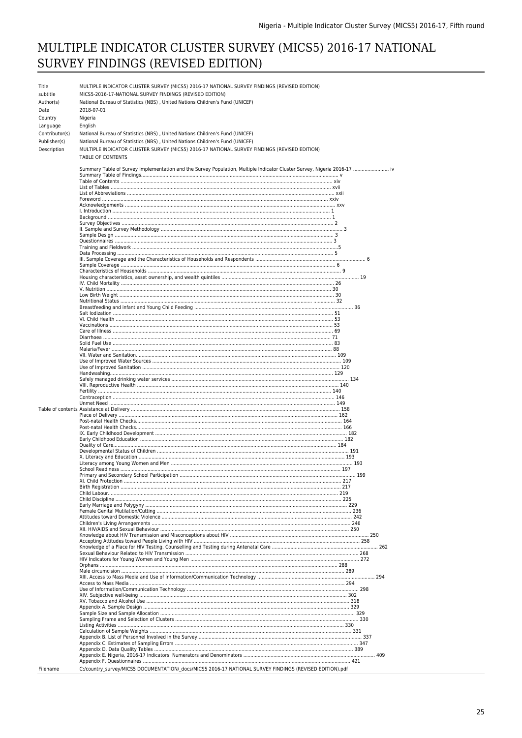# MULTIPLE INDICATOR CLUSTER SURVEY (MICS5) 2016-17 NATIONAL SURVEY FINDINGS (REVISED EDITION)

| Title           | MULTIPLE INDICATOR CLUSTER SURVEY (MICS5) 2016-17 NATIONAL SURVEY FINDINGS (REVISED EDITION)             |  |  |
|-----------------|----------------------------------------------------------------------------------------------------------|--|--|
| subtitle        | MICS5-2016-17-NATIONAL SURVEY FINDINGS (REVISED EDITION)                                                 |  |  |
| Author(s)       | National Bureau of Statistics (NBS), United Nations Children's Fund (UNICEF)                             |  |  |
| Date<br>Country | 2018-07-01<br>Nigeria                                                                                    |  |  |
| Language        | English                                                                                                  |  |  |
| Contributor(s)  | National Bureau of Statistics (NBS), United Nations Children's Fund (UNICEF)                             |  |  |
| Publisher(s)    | National Bureau of Statistics (NBS), United Nations Children's Fund (UNICEF)                             |  |  |
| Description     | MULTIPLE INDICATOR CLUSTER SURVEY (MICS5) 2016-17 NATIONAL SURVEY FINDINGS (REVISED EDITION)             |  |  |
|                 | <b>TABLE OF CONTENTS</b>                                                                                 |  |  |
|                 |                                                                                                          |  |  |
|                 |                                                                                                          |  |  |
|                 |                                                                                                          |  |  |
|                 |                                                                                                          |  |  |
|                 |                                                                                                          |  |  |
|                 |                                                                                                          |  |  |
|                 |                                                                                                          |  |  |
|                 |                                                                                                          |  |  |
|                 |                                                                                                          |  |  |
|                 |                                                                                                          |  |  |
|                 |                                                                                                          |  |  |
|                 |                                                                                                          |  |  |
|                 |                                                                                                          |  |  |
|                 |                                                                                                          |  |  |
|                 |                                                                                                          |  |  |
|                 |                                                                                                          |  |  |
|                 |                                                                                                          |  |  |
|                 |                                                                                                          |  |  |
|                 |                                                                                                          |  |  |
|                 |                                                                                                          |  |  |
|                 |                                                                                                          |  |  |
|                 |                                                                                                          |  |  |
|                 |                                                                                                          |  |  |
|                 |                                                                                                          |  |  |
|                 |                                                                                                          |  |  |
|                 |                                                                                                          |  |  |
|                 |                                                                                                          |  |  |
|                 |                                                                                                          |  |  |
|                 |                                                                                                          |  |  |
|                 |                                                                                                          |  |  |
|                 |                                                                                                          |  |  |
|                 |                                                                                                          |  |  |
|                 |                                                                                                          |  |  |
|                 |                                                                                                          |  |  |
|                 |                                                                                                          |  |  |
|                 |                                                                                                          |  |  |
|                 |                                                                                                          |  |  |
|                 |                                                                                                          |  |  |
|                 |                                                                                                          |  |  |
|                 |                                                                                                          |  |  |
|                 |                                                                                                          |  |  |
|                 |                                                                                                          |  |  |
|                 |                                                                                                          |  |  |
|                 |                                                                                                          |  |  |
|                 |                                                                                                          |  |  |
|                 |                                                                                                          |  |  |
|                 |                                                                                                          |  |  |
|                 |                                                                                                          |  |  |
|                 |                                                                                                          |  |  |
|                 |                                                                                                          |  |  |
|                 |                                                                                                          |  |  |
|                 |                                                                                                          |  |  |
|                 |                                                                                                          |  |  |
|                 |                                                                                                          |  |  |
|                 |                                                                                                          |  |  |
|                 |                                                                                                          |  |  |
|                 |                                                                                                          |  |  |
| Filename        | C:/country survey/MICS5 DOCUMENTATION/ docs/MICS5 2016-17 NATIONAL SURVEY FINDINGS (REVISED EDITION).pdf |  |  |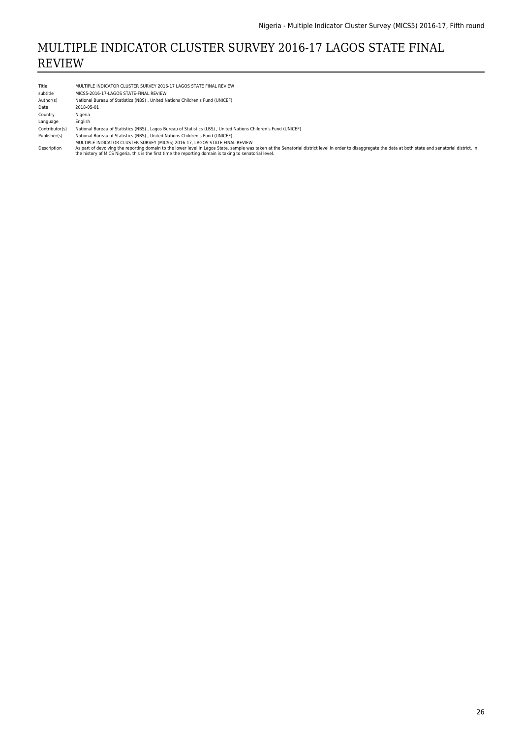# MULTIPLE INDICATOR CLUSTER SURVEY 2016-17 LAGOS STATE FINAL REVIEW

| Title          | MULTIPLE INDICATOR CLUSTER SURVEY 2016-17 LAGOS STATE FINAL REVIEW                                                                                                                                                                                                                                                                                                                                   |
|----------------|------------------------------------------------------------------------------------------------------------------------------------------------------------------------------------------------------------------------------------------------------------------------------------------------------------------------------------------------------------------------------------------------------|
| subtitle       | MICS5-2016-17-LAGOS STATE-FINAL REVIEW                                                                                                                                                                                                                                                                                                                                                               |
| Author(s)      | National Bureau of Statistics (NBS), United Nations Children's Fund (UNICEF)                                                                                                                                                                                                                                                                                                                         |
| Date           | 2018-05-01                                                                                                                                                                                                                                                                                                                                                                                           |
| Country        | Nigeria                                                                                                                                                                                                                                                                                                                                                                                              |
| Language       | Enalish                                                                                                                                                                                                                                                                                                                                                                                              |
| Contributor(s) | National Bureau of Statistics (NBS), Lagos Bureau of Statistics (LBS), United Nations Children's Fund (UNICEF)                                                                                                                                                                                                                                                                                       |
| Publisher(s)   | National Bureau of Statistics (NBS). United Nations Children's Fund (UNICEF)                                                                                                                                                                                                                                                                                                                         |
| Description    | MULTIPLE INDICATOR CLUSTER SURVEY (MICS5) 2016-17. LAGOS STATE FINAL REVIEW<br>As part of devolving the reporting domain to the lower level in Lagos State, sample was taken at the Senatorial district level in order to disaggregate the data at both state and senatorial district. In<br>the history of MICS Nigeria, this is the first time the reporting domain is taking to senatorial level. |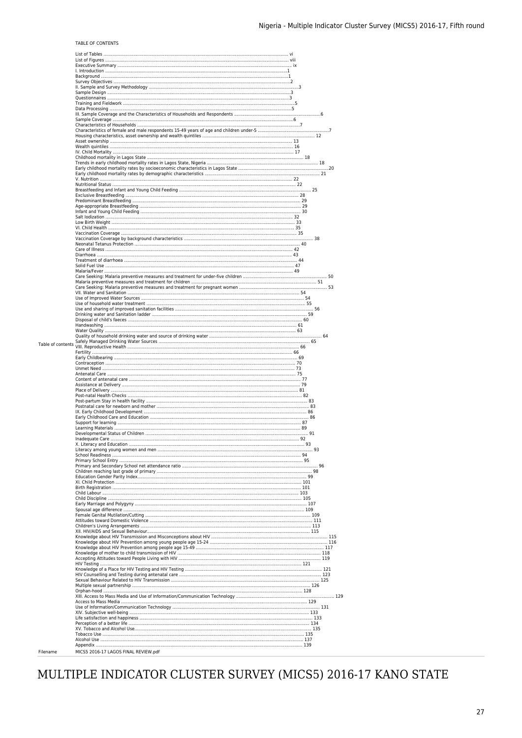|  | - 93 |
|--|------|
|  |      |
|  |      |
|  |      |
|  |      |
|  |      |
|  |      |
|  |      |
|  |      |
|  |      |
|  |      |
|  |      |
|  |      |
|  |      |
|  |      |
|  |      |
|  |      |
|  |      |
|  |      |
|  |      |
|  |      |
|  |      |
|  |      |
|  |      |
|  |      |
|  |      |
|  |      |
|  |      |

Filename

TABLE OF CONTENTS

MICS5 2016-17 LAGOS FINAL REVIEW.pdf

# MULTIPLE INDICATOR CLUSTER SURVEY (MICS5) 2016-17 KANO STATE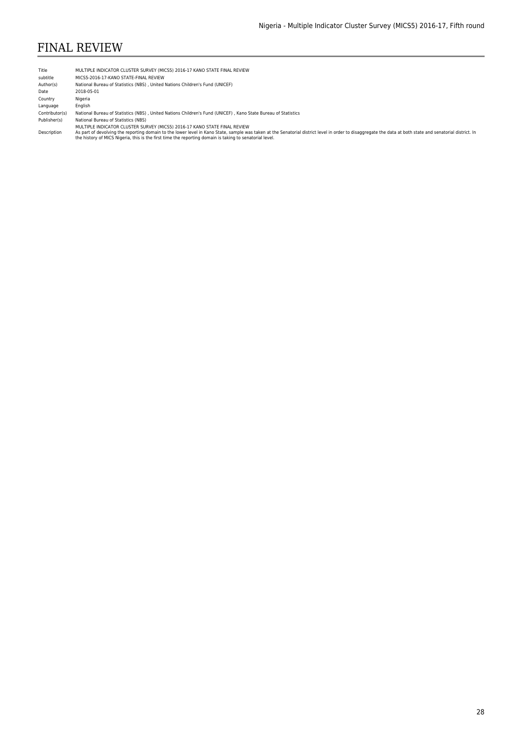# FINAL REVIEW

| Title          | MULTIPLE INDICATOR CLUSTER SURVEY (MICS5) 2016-17 KANO STATE FINAL REVIEW                                                                                                                                                                                                                                            |
|----------------|----------------------------------------------------------------------------------------------------------------------------------------------------------------------------------------------------------------------------------------------------------------------------------------------------------------------|
| subtitle       | MICS5-2016-17-KANO STATE-FINAL REVIEW                                                                                                                                                                                                                                                                                |
| Author(s)      | National Bureau of Statistics (NBS), United Nations Children's Fund (UNICEF)                                                                                                                                                                                                                                         |
| Date           | 2018-05-01                                                                                                                                                                                                                                                                                                           |
| Country        | Nigeria                                                                                                                                                                                                                                                                                                              |
| Language       | Enalish                                                                                                                                                                                                                                                                                                              |
| Contributor(s) | National Bureau of Statistics (NBS), United Nations Children's Fund (UNICEF), Kano State Bureau of Statistics                                                                                                                                                                                                        |
| Publisher(s)   | National Bureau of Statistics (NBS)                                                                                                                                                                                                                                                                                  |
|                | MULTIPLE INDICATOR CLUSTER SURVEY (MICS5) 2016-17 KANO STATE FINAL REVIEW                                                                                                                                                                                                                                            |
|                |                                                                                                                                                                                                                                                                                                                      |
| Description    | As part of devolving the reporting domain to the lower level in Kano State, sample was taken at the Senatorial district level in order to disaggregate the data at both state and senatorial district. In<br>the history of MICS Nigeria, this is the first time the reporting domain is taking to senatorial level. |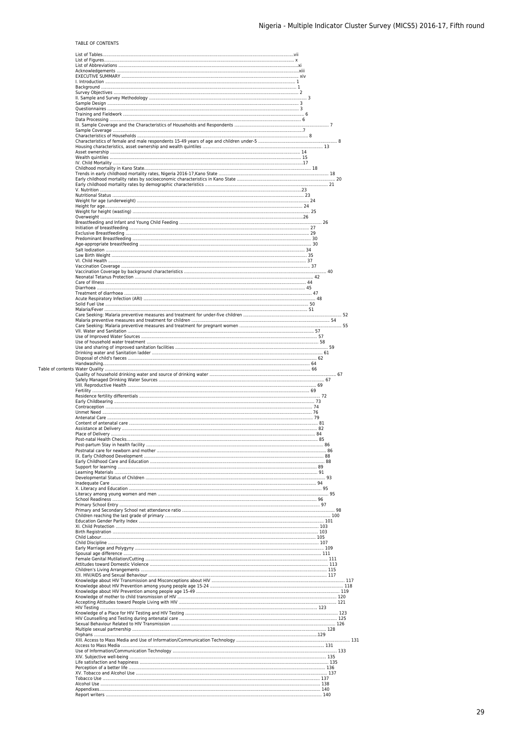TABLE OF CONTENTS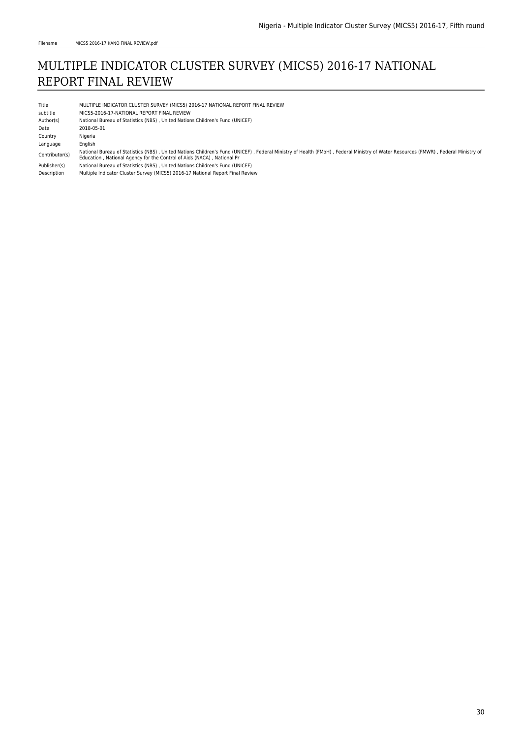# MULTIPLE INDICATOR CLUSTER SURVEY (MICS5) 2016-17 NATIONAL REPORT FINAL REVIEW

| Title          | MULTIPLE INDICATOR CLUSTER SURVEY (MICS5) 2016-17 NATIONAL REPORT FINAL REVIEW                                                                                                                                                                             |
|----------------|------------------------------------------------------------------------------------------------------------------------------------------------------------------------------------------------------------------------------------------------------------|
| subtitle       | MICS5-2016-17-NATIONAL REPORT FINAL REVIEW                                                                                                                                                                                                                 |
| Author(s)      | National Bureau of Statistics (NBS). United Nations Children's Fund (UNICEF)                                                                                                                                                                               |
| Date           | 2018-05-01                                                                                                                                                                                                                                                 |
| Country        | Nigeria                                                                                                                                                                                                                                                    |
| Language       | English                                                                                                                                                                                                                                                    |
| Contributor(s) | National Bureau of Statistics (NBS), United Nations Children's Fund (UNICEF), Federal Ministry of Health (FMoH), Federal Ministry of Water Resources (FMWR), Federal Ministry of<br>Education, National Agency for the Control of Aids (NACA), National Pr |
| Publisher(s)   | National Bureau of Statistics (NBS), United Nations Children's Fund (UNICEF)                                                                                                                                                                               |
| Description    | Multiple Indicator Cluster Survey (MICS5) 2016-17 National Report Final Review                                                                                                                                                                             |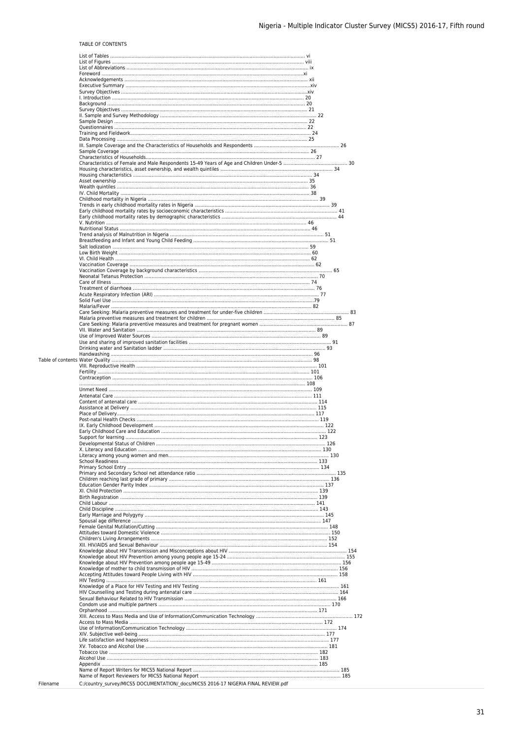|          | <b>TABLE OF CONTENTS</b>                                                           |  |
|----------|------------------------------------------------------------------------------------|--|
|          |                                                                                    |  |
|          |                                                                                    |  |
|          |                                                                                    |  |
|          |                                                                                    |  |
|          |                                                                                    |  |
|          |                                                                                    |  |
|          |                                                                                    |  |
|          |                                                                                    |  |
|          |                                                                                    |  |
|          |                                                                                    |  |
|          |                                                                                    |  |
|          |                                                                                    |  |
|          |                                                                                    |  |
|          |                                                                                    |  |
|          |                                                                                    |  |
|          |                                                                                    |  |
|          |                                                                                    |  |
|          |                                                                                    |  |
|          |                                                                                    |  |
|          |                                                                                    |  |
|          |                                                                                    |  |
|          |                                                                                    |  |
|          |                                                                                    |  |
|          |                                                                                    |  |
|          |                                                                                    |  |
|          |                                                                                    |  |
|          |                                                                                    |  |
|          |                                                                                    |  |
|          |                                                                                    |  |
|          |                                                                                    |  |
|          |                                                                                    |  |
|          |                                                                                    |  |
|          |                                                                                    |  |
|          |                                                                                    |  |
|          |                                                                                    |  |
|          |                                                                                    |  |
|          |                                                                                    |  |
|          |                                                                                    |  |
|          |                                                                                    |  |
|          |                                                                                    |  |
|          |                                                                                    |  |
|          |                                                                                    |  |
|          |                                                                                    |  |
|          |                                                                                    |  |
|          |                                                                                    |  |
|          |                                                                                    |  |
|          |                                                                                    |  |
|          |                                                                                    |  |
|          |                                                                                    |  |
|          |                                                                                    |  |
|          |                                                                                    |  |
|          |                                                                                    |  |
|          |                                                                                    |  |
|          |                                                                                    |  |
|          |                                                                                    |  |
|          |                                                                                    |  |
|          |                                                                                    |  |
|          |                                                                                    |  |
|          |                                                                                    |  |
|          |                                                                                    |  |
|          |                                                                                    |  |
|          |                                                                                    |  |
|          |                                                                                    |  |
|          |                                                                                    |  |
|          |                                                                                    |  |
|          |                                                                                    |  |
|          |                                                                                    |  |
|          |                                                                                    |  |
|          |                                                                                    |  |
|          |                                                                                    |  |
|          |                                                                                    |  |
|          |                                                                                    |  |
|          |                                                                                    |  |
|          |                                                                                    |  |
|          |                                                                                    |  |
| Filename | C:/country survey/MICS5 DOCUMENTATION/ docs/MICS5 2016-17 NIGERIA FINAL REVIEW.pdf |  |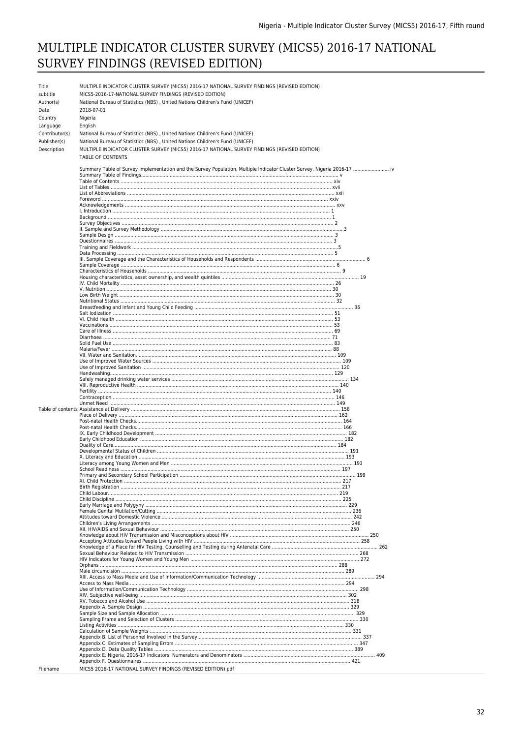# MULTIPLE INDICATOR CLUSTER SURVEY (MICS5) 2016-17 NATIONAL SURVEY FINDINGS (REVISED EDITION)

| Title                      | MULTIPLE INDICATOR CLUSTER SURVEY (MICS5) 2016-17 NATIONAL SURVEY FINDINGS (REVISED EDITION) |  |  |
|----------------------------|----------------------------------------------------------------------------------------------|--|--|
| subtitle                   | MICS5-2016-17-NATIONAL SURVEY FINDINGS (REVISED EDITION)                                     |  |  |
| Author(s)                  | National Bureau of Statistics (NBS), United Nations Children's Fund (UNICEF)                 |  |  |
| Date                       | 2018-07-01                                                                                   |  |  |
| Country                    | Nigeria<br>English                                                                           |  |  |
| Language<br>Contributor(s) | National Bureau of Statistics (NBS), United Nations Children's Fund (UNICEF)                 |  |  |
| Publisher(s)               | National Bureau of Statistics (NBS), United Nations Children's Fund (UNICEF)                 |  |  |
| Description                | MULTIPLE INDICATOR CLUSTER SURVEY (MICS5) 2016-17 NATIONAL SURVEY FINDINGS (REVISED EDITION) |  |  |
|                            | TABLE OF CONTENTS                                                                            |  |  |
|                            |                                                                                              |  |  |
|                            |                                                                                              |  |  |
|                            |                                                                                              |  |  |
|                            |                                                                                              |  |  |
|                            |                                                                                              |  |  |
|                            |                                                                                              |  |  |
|                            |                                                                                              |  |  |
|                            |                                                                                              |  |  |
|                            |                                                                                              |  |  |
|                            |                                                                                              |  |  |
|                            |                                                                                              |  |  |
|                            |                                                                                              |  |  |
|                            |                                                                                              |  |  |
|                            |                                                                                              |  |  |
|                            |                                                                                              |  |  |
|                            |                                                                                              |  |  |
|                            |                                                                                              |  |  |
|                            |                                                                                              |  |  |
|                            |                                                                                              |  |  |
|                            |                                                                                              |  |  |
|                            |                                                                                              |  |  |
|                            |                                                                                              |  |  |
|                            |                                                                                              |  |  |
|                            |                                                                                              |  |  |
|                            |                                                                                              |  |  |
|                            |                                                                                              |  |  |
|                            |                                                                                              |  |  |
|                            |                                                                                              |  |  |
|                            |                                                                                              |  |  |
|                            |                                                                                              |  |  |
|                            |                                                                                              |  |  |
|                            |                                                                                              |  |  |
|                            |                                                                                              |  |  |
|                            |                                                                                              |  |  |
|                            |                                                                                              |  |  |
|                            |                                                                                              |  |  |
|                            |                                                                                              |  |  |
|                            |                                                                                              |  |  |
|                            |                                                                                              |  |  |
|                            |                                                                                              |  |  |
|                            |                                                                                              |  |  |
|                            |                                                                                              |  |  |
|                            |                                                                                              |  |  |
|                            |                                                                                              |  |  |
|                            |                                                                                              |  |  |
|                            |                                                                                              |  |  |
|                            |                                                                                              |  |  |
|                            |                                                                                              |  |  |
|                            |                                                                                              |  |  |
|                            |                                                                                              |  |  |
|                            |                                                                                              |  |  |
|                            |                                                                                              |  |  |
|                            |                                                                                              |  |  |
|                            |                                                                                              |  |  |
|                            |                                                                                              |  |  |
|                            |                                                                                              |  |  |
|                            |                                                                                              |  |  |
| Filename                   | MICS5 2016-17 NATIONAL SURVEY FINDINGS (REVISED EDITION) ndf                                 |  |  |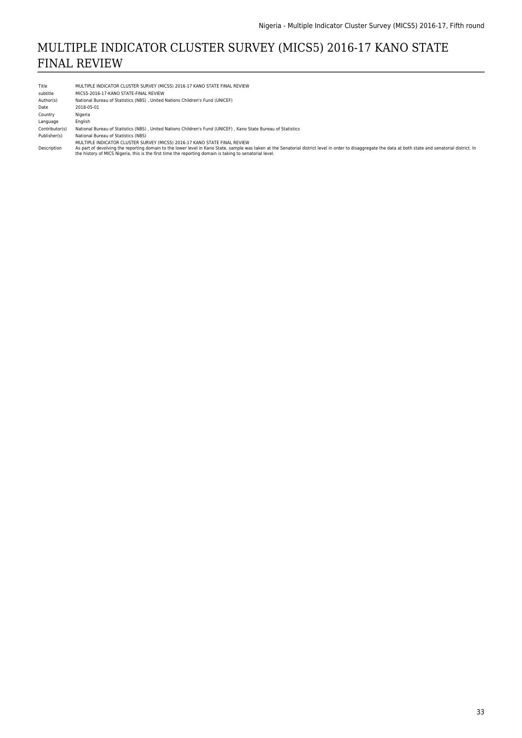# MULTIPLE INDICATOR CLUSTER SURVEY (MICS5) 2016-17 KANO STATE FINAL REVIEW

| Title<br>subtitle | MULTIPLE INDICATOR CLUSTER SURVEY (MICS5) 2016-17 KANO STATE FINAL REVIEW<br>MICS5-2016-17-KANO STATE-FINAL REVIEW                                                                                                                                                                                                                                                                                |
|-------------------|---------------------------------------------------------------------------------------------------------------------------------------------------------------------------------------------------------------------------------------------------------------------------------------------------------------------------------------------------------------------------------------------------|
| Author(s)         | National Bureau of Statistics (NBS), United Nations Children's Fund (UNICEF)                                                                                                                                                                                                                                                                                                                      |
| Date              | 2018-05-01                                                                                                                                                                                                                                                                                                                                                                                        |
| Country           | Nigeria                                                                                                                                                                                                                                                                                                                                                                                           |
| Language          | English                                                                                                                                                                                                                                                                                                                                                                                           |
| Contributor(s)    | National Bureau of Statistics (NBS), United Nations Children's Fund (UNICEF), Kano State Bureau of Statistics                                                                                                                                                                                                                                                                                     |
| Publisher(s)      | National Bureau of Statistics (NBS)                                                                                                                                                                                                                                                                                                                                                               |
| Description       | MULTIPLE INDICATOR CLUSTER SURVEY (MICS5) 2016-17 KANO STATE FINAL REVIEW<br>As part of devolving the reporting domain to the lower level in Kano State, sample was taken at the Senatorial district level in order to disaggregate the data at both state and senatorial district. In<br>the history of MICS Nigeria, this is the first time the reporting domain is taking to senatorial level. |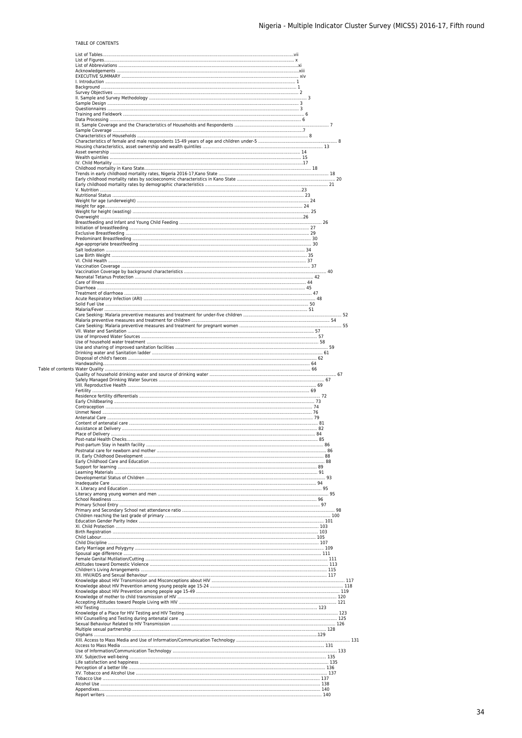TABLE OF CONTENTS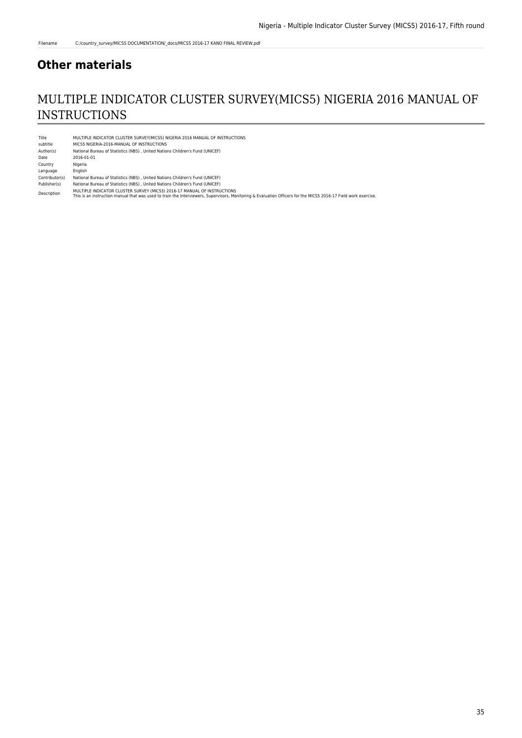### **Other materials**

# MULTIPLE INDICATOR CLUSTER SURVEY(MICS5) NIGERIA 2016 MANUAL OF INSTRUCTIONS

| Title          | MULTIPLE INDICATOR CLUSTER SURVEY(MICS5) NIGERIA 2016 MANUAL OF INSTRUCTIONS                                                                                                                                                                |
|----------------|---------------------------------------------------------------------------------------------------------------------------------------------------------------------------------------------------------------------------------------------|
| subtitle       | MICS5 NIGERIA-2016-MANUAL OF INSTRUCTIONS                                                                                                                                                                                                   |
| Author(s)      | National Bureau of Statistics (NBS), United Nations Children's Fund (UNICEF)                                                                                                                                                                |
| Date           | 2016-01-01                                                                                                                                                                                                                                  |
| Country        | Nigeria                                                                                                                                                                                                                                     |
| Language       | Enalish                                                                                                                                                                                                                                     |
| Contributor(s) | National Bureau of Statistics (NBS), United Nations Children's Fund (UNICEF)                                                                                                                                                                |
| Publisher(s)   | National Bureau of Statistics (NBS), United Nations Children's Fund (UNICEF)                                                                                                                                                                |
| Description    | MULTIPLE INDICATOR CLUSTER SURVEY (MICS5) 2016-17 MANUAL OF INSTRUCTIONS<br>This is an instruction manual that was used to train the Interviewers, Supervisors, Monitoring & Evaluation Officers for the MICS5 2016-17 Field work exercise. |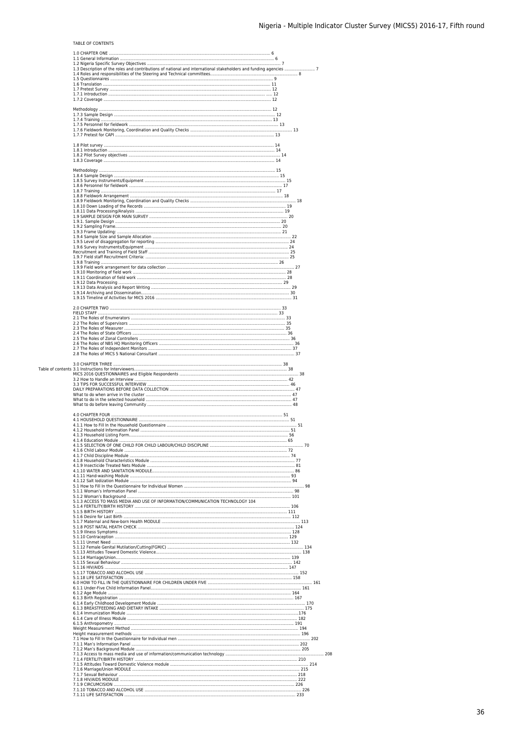| 1.4 Education Module                                                           |  |
|--------------------------------------------------------------------------------|--|
|                                                                                |  |
|                                                                                |  |
|                                                                                |  |
|                                                                                |  |
|                                                                                |  |
|                                                                                |  |
|                                                                                |  |
| 5.1.3 ACCESS TO MASS MEDIA AND USE OF INFORMATION/COMMUNICATION TECHNOLOGY 104 |  |
|                                                                                |  |
|                                                                                |  |
|                                                                                |  |
|                                                                                |  |
|                                                                                |  |
|                                                                                |  |
|                                                                                |  |
|                                                                                |  |
|                                                                                |  |
|                                                                                |  |
|                                                                                |  |
|                                                                                |  |
|                                                                                |  |
|                                                                                |  |
|                                                                                |  |
|                                                                                |  |
|                                                                                |  |
|                                                                                |  |
|                                                                                |  |
|                                                                                |  |
|                                                                                |  |
|                                                                                |  |

TABLE OF CONTENTS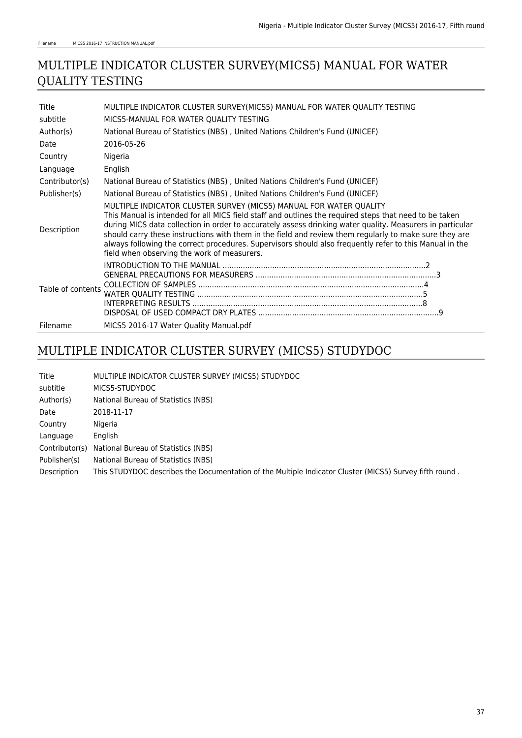# MULTIPLE INDICATOR CLUSTER SURVEY(MICS5) MANUAL FOR WATER QUALITY TESTING

| Title             | MULTIPLE INDICATOR CLUSTER SURVEY(MICS5) MANUAL FOR WATER QUALITY TESTING                                                                                                                                                                                                                                                                                                                                                                                                                                                                                     |  |  |
|-------------------|---------------------------------------------------------------------------------------------------------------------------------------------------------------------------------------------------------------------------------------------------------------------------------------------------------------------------------------------------------------------------------------------------------------------------------------------------------------------------------------------------------------------------------------------------------------|--|--|
| subtitle          | MICS5-MANUAL FOR WATER QUALITY TESTING                                                                                                                                                                                                                                                                                                                                                                                                                                                                                                                        |  |  |
| Author(s)         | National Bureau of Statistics (NBS), United Nations Children's Fund (UNICEF)                                                                                                                                                                                                                                                                                                                                                                                                                                                                                  |  |  |
| Date              | 2016-05-26                                                                                                                                                                                                                                                                                                                                                                                                                                                                                                                                                    |  |  |
| Country           | Nigeria                                                                                                                                                                                                                                                                                                                                                                                                                                                                                                                                                       |  |  |
| Language          | English                                                                                                                                                                                                                                                                                                                                                                                                                                                                                                                                                       |  |  |
| Contributor(s)    | National Bureau of Statistics (NBS), United Nations Children's Fund (UNICEF)                                                                                                                                                                                                                                                                                                                                                                                                                                                                                  |  |  |
| Publisher(s)      | National Bureau of Statistics (NBS), United Nations Children's Fund (UNICEF)                                                                                                                                                                                                                                                                                                                                                                                                                                                                                  |  |  |
| Description       | MULTIPLE INDICATOR CLUSTER SURVEY (MICS5) MANUAL FOR WATER QUALITY<br>This Manual is intended for all MICS field staff and outlines the required steps that need to be taken<br>during MICS data collection in order to accurately assess drinking water quality. Measurers in particular<br>should carry these instructions with them in the field and review them regularly to make sure they are<br>always following the correct procedures. Supervisors should also frequently refer to this Manual in the<br>field when observing the work of measurers. |  |  |
| Table of contents |                                                                                                                                                                                                                                                                                                                                                                                                                                                                                                                                                               |  |  |
| Filename          | MICS5 2016-17 Water Quality Manual.pdf                                                                                                                                                                                                                                                                                                                                                                                                                                                                                                                        |  |  |

### MULTIPLE INDICATOR CLUSTER SURVEY (MICS5) STUDYDOC

| <b>Title</b> | MULTIPLE INDICATOR CLUSTER SURVEY (MICS5) STUDYDOC                                                      |
|--------------|---------------------------------------------------------------------------------------------------------|
| subtitle     | MICS5-STUDYDOC                                                                                          |
| Author(s)    | National Bureau of Statistics (NBS)                                                                     |
| Date         | 2018-11-17                                                                                              |
| Country      | Nigeria                                                                                                 |
| Language     | English                                                                                                 |
|              | Contributor(s) National Bureau of Statistics (NBS)                                                      |
| Publisher(s) | National Bureau of Statistics (NBS)                                                                     |
| Description  | This STUDYDOC describes the Documentation of the Multiple Indicator Cluster (MICS5) Survey fifth round. |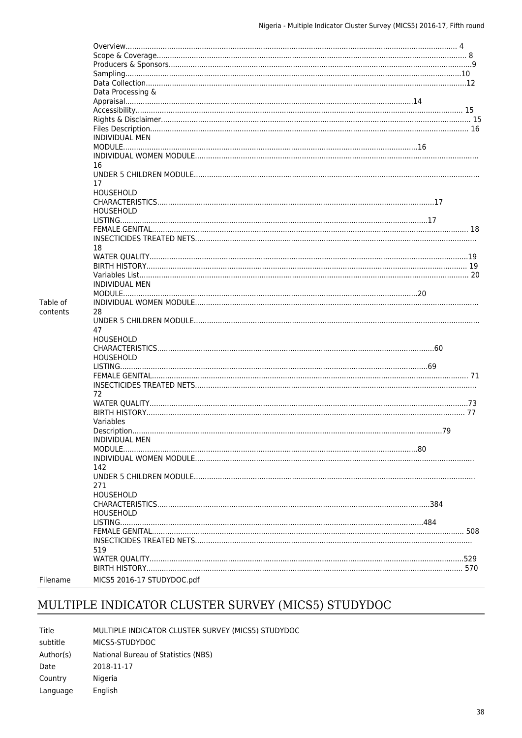|          | Data Processing &          |  |
|----------|----------------------------|--|
|          |                            |  |
|          |                            |  |
|          |                            |  |
|          |                            |  |
|          | <b>INDIVIDUAL MEN</b>      |  |
|          |                            |  |
|          |                            |  |
|          | 16                         |  |
|          |                            |  |
|          | 17                         |  |
|          | <b>HOUSEHOLD</b>           |  |
|          |                            |  |
|          | <b>HOUSEHOLD</b>           |  |
|          |                            |  |
|          |                            |  |
|          |                            |  |
|          | 18                         |  |
|          |                            |  |
|          |                            |  |
|          |                            |  |
|          | <b>INDIVIDUAL MEN</b>      |  |
|          |                            |  |
| Table of |                            |  |
| contents | 28                         |  |
|          |                            |  |
|          | 47                         |  |
|          | <b>HOUSEHOLD</b>           |  |
|          |                            |  |
|          | <b>HOUSEHOLD</b>           |  |
|          |                            |  |
|          |                            |  |
|          |                            |  |
|          | 72                         |  |
|          |                            |  |
|          |                            |  |
|          | Variables                  |  |
|          |                            |  |
|          | <b>INDIVIDUAL MEN</b>      |  |
|          |                            |  |
|          |                            |  |
|          | 142                        |  |
|          |                            |  |
|          | 271                        |  |
|          | <b>HOUSEHOLD</b>           |  |
|          |                            |  |
|          | <b>HOUSEHOLD</b>           |  |
|          |                            |  |
|          |                            |  |
|          |                            |  |
|          | 519                        |  |
|          |                            |  |
|          |                            |  |
| Filename | MICS5 2016-17 STUDYDOC.pdf |  |
|          |                            |  |

# MULTIPLE INDICATOR CLUSTER SURVEY (MICS5) STUDYDOC

| Title     | MULTIPLE INDICATOR CLUSTER SURVEY (MICS5) STUDYDOC |
|-----------|----------------------------------------------------|
| subtitle  | MICS5-STUDYDOC                                     |
| Author(s) | National Bureau of Statistics (NBS)                |
| Date      | 2018-11-17                                         |
| Country   | Nigeria                                            |
| Language  | English                                            |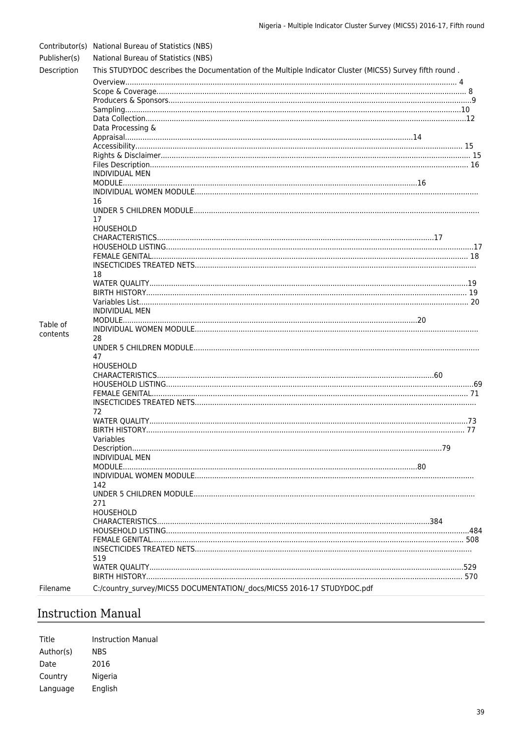|              | Contributor(s) National Bureau of Statistics (NBS)                                                      |  |
|--------------|---------------------------------------------------------------------------------------------------------|--|
| Publisher(s) | National Bureau of Statistics (NBS)                                                                     |  |
| Description  | This STUDYDOC describes the Documentation of the Multiple Indicator Cluster (MICS5) Survey fifth round. |  |
|              |                                                                                                         |  |
|              |                                                                                                         |  |
|              |                                                                                                         |  |
|              |                                                                                                         |  |
|              |                                                                                                         |  |
|              | Data Processing &                                                                                       |  |
|              |                                                                                                         |  |
|              |                                                                                                         |  |
|              |                                                                                                         |  |
|              |                                                                                                         |  |
|              | <b>INDIVIDUAL MEN</b>                                                                                   |  |
|              |                                                                                                         |  |
|              |                                                                                                         |  |
|              | 16                                                                                                      |  |
|              |                                                                                                         |  |
|              | 17                                                                                                      |  |
|              | HOUSEHOLD                                                                                               |  |
|              |                                                                                                         |  |
|              |                                                                                                         |  |
|              |                                                                                                         |  |
|              |                                                                                                         |  |
|              | 18                                                                                                      |  |
|              |                                                                                                         |  |
|              |                                                                                                         |  |
|              |                                                                                                         |  |
|              | <b>INDIVIDUAL MEN</b>                                                                                   |  |
|              |                                                                                                         |  |
| Table of     |                                                                                                         |  |
| contents     | 28                                                                                                      |  |
|              |                                                                                                         |  |
|              | 47                                                                                                      |  |
|              | HOUSEHOLD                                                                                               |  |
|              |                                                                                                         |  |
|              |                                                                                                         |  |
|              |                                                                                                         |  |
|              |                                                                                                         |  |
|              | 72                                                                                                      |  |
|              |                                                                                                         |  |
|              |                                                                                                         |  |
|              | Variables                                                                                               |  |
|              |                                                                                                         |  |
|              | <b>INDIVIDUAL MEN</b>                                                                                   |  |
|              |                                                                                                         |  |
|              |                                                                                                         |  |
|              | 142                                                                                                     |  |
|              |                                                                                                         |  |
|              | 271                                                                                                     |  |
|              | <b>HOUSEHOLD</b>                                                                                        |  |
|              |                                                                                                         |  |
|              |                                                                                                         |  |
|              |                                                                                                         |  |
|              |                                                                                                         |  |
|              | 519                                                                                                     |  |
|              |                                                                                                         |  |
|              |                                                                                                         |  |
|              |                                                                                                         |  |
| Filename     | C:/country_survey/MICS5 DOCUMENTATION/_docs/MICS5 2016-17 STUDYDOC.pdf                                  |  |

### **Instruction Manual**

| Title     | <b>Instruction Manual</b> |
|-----------|---------------------------|
| Author(s) | NBS                       |
| Date      | 2016                      |
| Country   | Nigeria                   |
| Language  | English                   |